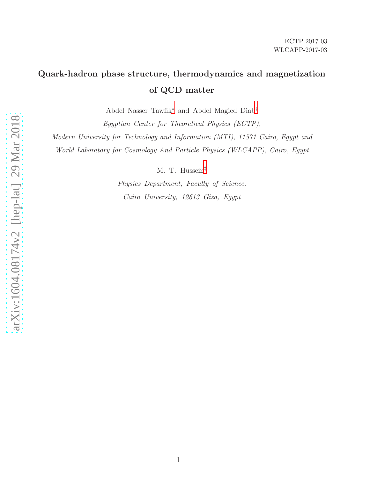# Quark-hadron phase structure, thermodynamics and magnetization of QCD matter

Abdel Nasser Tawfik[∗](#page-1-0) and Abdel Magied Diab[†](#page-1-1)

Egyptian Center for Theoretical Physics (ECTP), Modern University for Technology and Information (MTI), 11571 Cairo, Egypt and World Laboratory for Cosmology And Particle Physics (WLCAPP), Cairo, Egypt

M. T. Hussein[‡](#page-1-2)

Physics Department, Faculty of Science, Cairo University, 12613 Giza, Egypt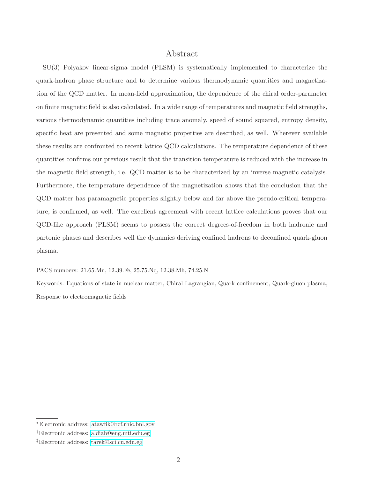# Abstract

SU(3) Polyakov linear-sigma model (PLSM) is systematically implemented to characterize the quark-hadron phase structure and to determine various thermodynamic quantities and magnetization of the QCD matter. In mean-field approximation, the dependence of the chiral order-parameter on finite magnetic field is also calculated. In a wide range of temperatures and magnetic field strengths, various thermodynamic quantities including trace anomaly, speed of sound squared, entropy density, specific heat are presented and some magnetic properties are described, as well. Wherever available these results are confronted to recent lattice QCD calculations. The temperature dependence of these quantities confirms our previous result that the transition temperature is reduced with the increase in the magnetic field strength, i.e. QCD matter is to be characterized by an inverse magnetic catalysis. Furthermore, the temperature dependence of the magnetization shows that the conclusion that the QCD matter has paramagnetic properties slightly below and far above the pseudo-critical temperature, is confirmed, as well. The excellent agreement with recent lattice calculations proves that our QCD-like approach (PLSM) seems to possess the correct degrees-of-freedom in both hadronic and partonic phases and describes well the dynamics deriving confined hadrons to deconfined quark-gluon plasma.

PACS numbers: 21.65.Mn, 12.39.Fe, 25.75.Nq, 12.38.Mh, 74.25.N

Keywords: Equations of state in nuclear matter, Chiral Lagrangian, Quark confinement, Quark-gluon plasma, Response to electromagnetic fields

<span id="page-1-1"></span><span id="page-1-0"></span><sup>∗</sup>Electronic address: [atawfik@rcf.rhic.bnl.gov](mailto:atawfik@rcf.rhic.bnl.gov)

<span id="page-1-2"></span><sup>†</sup>Electronic address: [a.diab@eng.mti.edu.eg](mailto:a.diab@eng.mti.edu.eg)

<sup>‡</sup>Electronic address: [tarek@sci.cu.edu.eg](mailto:tarek@sci.cu.edu.eg)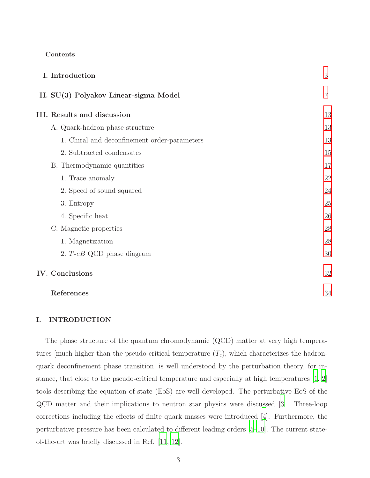# Contents

|                        | I. Introduction                              | 3              |
|------------------------|----------------------------------------------|----------------|
|                        | II. SU(3) Polyakov Linear-sigma Model        | $\overline{7}$ |
|                        | <b>III.</b> Results and discussion           | 13             |
|                        | A. Quark-hadron phase structure              | 13             |
|                        | 1. Chiral and deconfinement order-parameters | 13             |
|                        | 2. Subtracted condensates                    | 15             |
|                        | B. Thermodynamic quantities                  | 17             |
|                        | 1. Trace anomaly                             | 22             |
|                        | 2. Speed of sound squared                    | 24             |
|                        | 3. Entropy                                   | 25             |
|                        | 4. Specific heat                             | 26             |
|                        | C. Magnetic properties                       | 28             |
|                        | 1. Magnetization                             | 28             |
|                        | 2. $T$ -eB QCD phase diagram                 | 30             |
| <b>IV.</b> Conclusions |                                              | 32             |
|                        |                                              |                |

| References |  |
|------------|--|
|------------|--|

# <span id="page-2-0"></span>I. INTRODUCTION

The phase structure of the quantum chromodynamic (QCD) matter at very high temperatures [much higher than the pseudo-critical temperature  $(T_c)$ , which characterizes the hadronquark deconfinement phase transition] is well understood by the perturbation theory, for instance, that close to the pseudo-critical temperature and especially at high temperatures [\[1,](#page-33-1) [2\]](#page-33-2) tools describing the equation of state (EoS) are well developed. The perturbative EoS of the QCD matter and their implications to neutron star physics were discussed [\[3](#page-33-3)]. Three-loop corrections including the effects of finite quark masses were introduced [\[4\]](#page-33-4). Furthermore, the perturbative pressure has been calculated to different leading orders [\[5](#page-33-5)[–10](#page-33-6)]. The current stateof-the-art was briefly discussed in Ref. [\[11](#page-33-7), [12](#page-33-8)].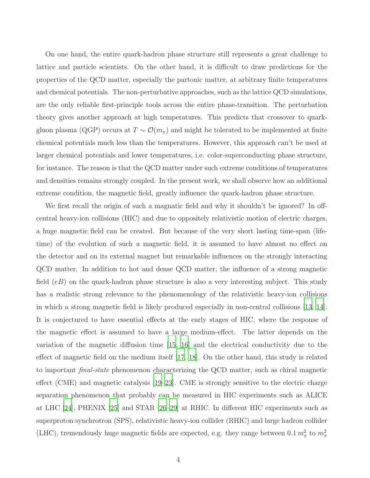On one hand, the entire quark-hadron phase structure still represents a great challenge to lattice and particle scientists. On the other hand, it is difficult to draw predictions for the properties of the QCD matter, especially the partonic matter, at arbitrary finite temperatures and chemical potentials. The non-perturbative approaches, such as the lattice QCD simulations, are the only reliable first-principle tools across the entire phase-transition. The perturbation theory gives another approach at high temperatures. This predicts that crossover to quarkgluon plasma (QGP) occurs at  $T \sim \mathcal{O}(m_\pi)$  and might be tolerated to be implemented at finite chemical potentials much less than the temperatures. However, this approach can't be used at larger chemical potentials and lower temperatures, i.e. color-superconducting phase structure, for instance. The reason is that the QCD matter under such extreme conditions of temperatures and densities remains strongly coupled. In the present work, we shall observe how an additional extreme condition, the magnetic field, greatly influence the quark-hadron phase structure.

We first recall the origin of such a magnatic field and why it shouldn't be ignored? In offcentral heavy-ion collisions (HIC) and due to oppositely relativistic motion of electric charges, a huge magnetic field can be created. But because of the very short lasting time-span (lifetime) of the evolution of such a magnetic field, it is assumed to have almost no effect on the detector and on its external magnet but remarkable influences on the strongly interacting QCD matter. In addition to hot and dense QCD matter, the influence of a strong magnetic field  $(eB)$  on the quark-hadron phase structure is also a very interesting subject. This study has a realistic strong relevance to the phenomenology of the relativistic heavy-ion collisions in which a strong magnetic field is likely produced especially in non-central collisions [\[13](#page-33-9), [14](#page-33-10)]. It is conjectured to have essential effects at the early stages of HIC, where the response of the magnetic effect is assumed to have a large medium-effect. The latter depends on the variation of the magnetic diffusion time [\[15,](#page-33-11) [16\]](#page-34-0) and the electrical conductivity due to the effect of magnetic field on the medium itself [\[17](#page-34-1), [18](#page-34-2)]. On the other hand, this study is related to important final-state phenomenon characterizing the QCD matter, such as chiral magnetic effect (CME) and magnetic catalysis [\[19](#page-34-3)[–23\]](#page-34-4). CME is strongly sensitive to the electric charge separation phenomenon that probably can be measured in HIC experiments such as ALICE at LHC [\[24](#page-34-5)], PHENIX [\[25\]](#page-34-6) and STAR [\[26](#page-34-7)[–29\]](#page-34-8) at RHIC. In different HIC experiments such as superproton synchrotron (SPS), relativistic heavy-ion collider (RHIC) and large hadron collider (LHC), tremendously huge magnetic fields are expected, e.g. they range between  $0.1 m_{\pi}^2$  to  $m_{\pi}^2$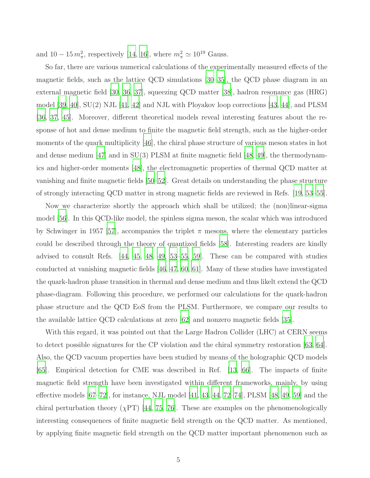and  $10-15 m_{\pi}^2$ , respectively [\[14,](#page-33-10) [16](#page-34-0)], where  $m_{\pi}^2 \simeq 10^{19}$  Gauss.

So far, there are various numerical calculations of the experimentally measured effects of the magnetic fields, such as the lattice QCD simulations [\[30](#page-34-9)[–35\]](#page-34-10), the QCD phase diagram in an external magnetic field [\[30](#page-34-9), [36](#page-34-11), [37](#page-34-12)], squeezing QCD matter [\[38\]](#page-34-13), hadron resonance gas (HRG) model [\[39](#page-34-14), [40\]](#page-34-15), SU(2) NJL [\[41,](#page-35-0) [42](#page-35-1)] and NJL with Ployakov loop corrections [\[43,](#page-35-2) [44](#page-35-3)], and PLSM [\[36](#page-34-11), [37](#page-34-12), [45](#page-35-4)]. Moreover, different theoretical models reveal interesting features about the response of hot and dense medium to finite the magnetic field strength, such as the higher-order moments of the quark multiplicity [\[46\]](#page-35-5), the chiral phase structure of various meson states in hot and dense medium [\[47](#page-35-6)] and in SU(3) PLSM at finite magnetic field [\[48](#page-35-7), [49\]](#page-35-8), the thermodynamics and higher-order moments [\[48\]](#page-35-7), the electromagnetic properties of thermal QCD matter at vanishing and finite magnetic fields [\[50](#page-35-9)[–52](#page-35-10)]. Great details on understanding the phase structure of strongly interacting QCD matter in strong magnetic fields are reviewed in Refs. [\[19](#page-34-3), [53](#page-35-11)[–55\]](#page-35-12).

Now we characterize shortly the approach which shall be utilized; the (non)linear-sigma model [\[56](#page-35-13)]. In this QCD-like model, the spinless sigma meson, the scalar which was introduced by Schwinger in 1957 [\[57](#page-35-14)], accompanies the triplet  $\pi$  mesons, where the elementary particles could be described through the theory of quantized fields [\[58\]](#page-35-15). Interesting readers are kindly advised to consult Refs. [\[44,](#page-35-3) [45,](#page-35-4) [48](#page-35-7), [49,](#page-35-8) [53](#page-35-11)[–55,](#page-35-12) [59](#page-35-16)]. These can be compared with studies conducted at vanishing magnetic fields [\[46,](#page-35-5) [47,](#page-35-6) [60](#page-35-17), [61\]](#page-35-18). Many of these studies have investigated the quark-hadron phase transition in thermal and dense medium and thus likelt extend the QCD phase-diagram. Following this procedure, we performed our calculations for the quark-hadron phase structure and the QCD EoS from the PLSM. Furthermore, we compare our results to the available lattice QCD calculations at zero [\[62](#page-35-19)] and nonzero magnetic fields [\[35\]](#page-34-10).

With this regard, it was pointed out that the Large Hadron Collider (LHC) at CERN seems to detect possible signatures for the CP violation and the chiral symmetry restoration [\[63,](#page-35-20) [64](#page-35-21)]. Also, the QCD vacuum properties have been studied by means of the holographic QCD models [\[65](#page-36-0)]. Empirical detection for CME was described in Ref. [\[13,](#page-33-9) [66\]](#page-36-1). The impacts of finite magnetic field strength have been investigated within different frameworks, mainly, by using effective models [\[67](#page-36-2)[–72](#page-36-3)], for instance, NJL model [\[41,](#page-35-0) [43,](#page-35-2) [44](#page-35-3), [72](#page-36-3)[–74](#page-36-4)], PLSM [\[48](#page-35-7), [49](#page-35-8), [59\]](#page-35-16) and the chiral perturbation theory ( $\chi$ PT) [\[44](#page-35-3), [75](#page-36-5), [76](#page-36-6)]. These are examples on the phenomenologically interesting consequences of finite magnetic field strength on the QCD matter. As mentioned, by applying finite magnetic field strength on the QCD matter important phenomenon such as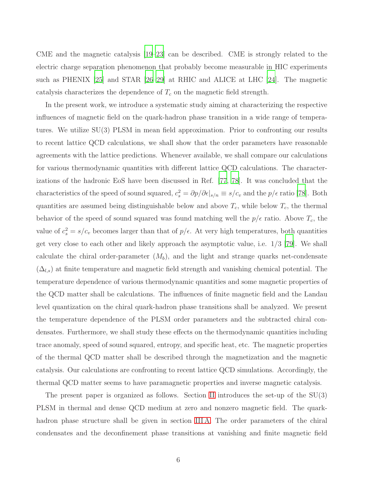CME and the magnetic catalysis [\[19](#page-34-3)[–23\]](#page-34-4) can be described. CME is strongly related to the electric charge separation phenomenon that probably become measurable in HIC experiments such as PHENIX [\[25\]](#page-34-6) and STAR [\[26](#page-34-7)[–29\]](#page-34-8) at RHIC and ALICE at LHC [\[24](#page-34-5)]. The magnetic catalysis characterizes the dependence of  $T_c$  on the magnetic field strength.

In the present work, we introduce a systematic study aiming at characterizing the respective influences of magnetic field on the quark-hadron phase transition in a wide range of temperatures. We utilize SU(3) PLSM in mean field approximation. Prior to confronting our results to recent lattice QCD calculations, we shall show that the order parameters have reasonable agreements with the lattice predictions. Whenever available, we shall compare our calculations for various thermodynamic quantities with different lattice QCD calculations. The characterizations of the hadronic EoS have been discussed in Ref. [\[77,](#page-36-7) [78\]](#page-36-8). It was concluded that the characteristics of the speed of sound squared,  $c_s^2 = \partial p/\partial \epsilon |_{s/n} \equiv s/c_v$  and the  $p/\epsilon$  ratio [\[78](#page-36-8)]. Both quantities are assumed being distinguishable below and above  $T_c$ , while below  $T_c$ , the thermal behavior of the speed of sound squared was found matching well the  $p/\epsilon$  ratio. Above  $T_c$ , the value of  $c_s^2 = s/c_v$  becomes larger than that of  $p/\epsilon$ . At very high temperatures, both quantities get very close to each other and likely approach the asymptotic value, i.e. 1/3 [\[79](#page-36-9)]. We shall calculate the chiral order-parameter  $(M_b)$ , and the light and strange quarks net-condensate  $(\Delta_{l,s})$  at finite temperature and magnetic field strength and vanishing chemical potential. The temperature dependence of various thermodynamic quantities and some magnetic properties of the QCD matter shall be calculations. The influences of finite magnetic field and the Landau level quantization on the chiral quark-hadron phase transitions shall be analyzed. We present the temperature dependence of the PLSM order parameters and the subtracted chiral condensates. Furthermore, we shall study these effects on the thermodynamic quantities including trace anomaly, speed of sound squared, entropy, and specific heat, etc. The magnetic properties of the thermal QCD matter shall be described through the magnetization and the magnetic catalysis. Our calculations are confronting to recent lattice QCD simulations. Accordingly, the thermal QCD matter seems to have paramagnetic properties and inverse magnetic catalysis.

The present paper is organized as follows. Section [II](#page-6-0) introduces the set-up of the SU(3) PLSM in thermal and dense QCD medium at zero and nonzero magnetic field. The quarkhadron phase structure shall be given in section [III A.](#page-12-1) The order parameters of the chiral condensates and the deconfinement phase transitions at vanishing and finite magnetic field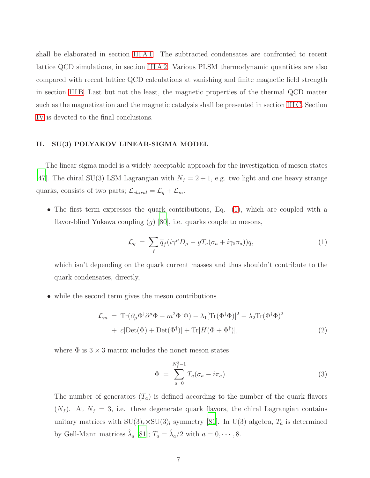shall be elaborated in section IIIA1. The subtracted condensates are confronted to recent lattice QCD simulations, in section [III A 2.](#page-14-0) Various PLSM thermodynamic quantities are also compared with recent lattice QCD calculations at vanishing and finite magnetic field strength in section [III B.](#page-16-0) Last but not the least, the magnetic properties of the thermal QCD matter such as the magnetization and the magnetic catalysis shall be presented in section [III C.](#page-27-0) Section [IV](#page-31-0) is devoted to the final conclusions.

#### <span id="page-6-0"></span>II. SU(3) POLYAKOV LINEAR-SIGMA MODEL

The linear-sigma model is a widely acceptable approach for the investigation of meson states [\[47\]](#page-35-6). The chiral SU(3) LSM Lagrangian with  $N_f = 2 + 1$ , e.g. two light and one heavy strange quarks, consists of two parts;  $\mathcal{L}_{chiral} = \mathcal{L}_q + \mathcal{L}_m$ .

• The first term expresses the quark contributions, Eq. [\(1\)](#page-6-1), which are coupled with a flavor-blind Yukawa coupling  $(g)$  [\[80](#page-36-10)], i.e. quarks couple to mesons,

<span id="page-6-1"></span>
$$
\mathcal{L}_q = \sum_f \overline{q}_f (i\gamma^\mu D_\mu - gT_a(\sigma_a + i\gamma_5 \pi_a))q, \tag{1}
$$

which isn't depending on the quark current masses and thus shouldn't contribute to the quark condensates, directly,

• while the second term gives the meson contributions

$$
\mathcal{L}_m = \text{Tr}(\partial_\mu \Phi^\dagger \partial^\mu \Phi - m^2 \Phi^\dagger \Phi) - \lambda_1 [\text{Tr}(\Phi^\dagger \Phi)]^2 - \lambda_2 \text{Tr}(\Phi^\dagger \Phi)^2
$$
  
+  $c[\text{Det}(\Phi) + \text{Det}(\Phi^\dagger)] + \text{Tr}[H(\Phi + \Phi^\dagger)],$  (2)

where  $\Phi$  is  $3 \times 3$  matrix includes the nonet meson states

$$
\Phi = \sum_{a=0}^{N_f^2 - 1} T_a (\sigma_a - i \pi_a).
$$
\n(3)

The number of generators  $(T_a)$  is defined according to the number of the quark flavors  $(N_f)$ . At  $N_f = 3$ , i.e. three degenerate quark flavors, the chiral Lagrangian contains unitary matrices with  $SU(3)_r \times SU(3)_l$  symmetry [\[81](#page-36-11)]. In U(3) algebra,  $T_a$  is determined by Gell-Mann matrices  $\hat{\lambda}_a$  [\[81](#page-36-11)];  $T_a = \hat{\lambda}_a/2$  with  $a = 0, \dots, 8$ .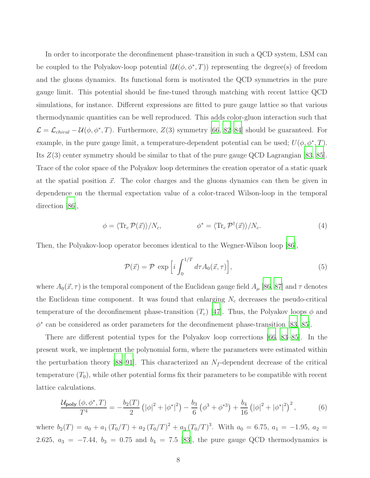In order to incorporate the deconfinement phase-transition in such a QCD system, LSM can be coupled to the Polyakov-loop potential  $(\mathcal{U}(\phi, \phi^*, T))$  representing the degree(s) of freedom and the gluons dynamics. Its functional form is motivated the QCD symmetries in the pure gauge limit. This potential should be fine-tuned through matching with recent lattice QCD simulations, for instance. Different expressions are fitted to pure gauge lattice so that various thermodynamic quantities can be well reproduced. This adds color-gluon interaction such that  $\mathcal{L} = \mathcal{L}_{chiral} - \mathcal{U}(\phi, \phi^*, T)$ . Furthermore,  $Z(3)$  symmetry [\[66](#page-36-1), 82[–84\]](#page-37-0) should be guaranteed. For example, in the pure gauge limit, a temperature-dependent potential can be used;  $U(\phi, \phi^*, T)$ . Its  $Z(3)$  center symmetry should be similar to that of the pure gauge QCD Lagrangian [\[83](#page-36-12), [85](#page-37-1)]. Trace of the color space of the Polyakov loop determines the creation operator of a static quark at the spatial position  $\vec{x}$ . The color charges and the gluons dynamics can then be given in dependence on the thermal expectation value of a color-traced Wilson-loop in the temporal direction [\[86\]](#page-37-2),

$$
\phi = \langle \text{Tr}_c \, \mathcal{P}(\vec{x}) \rangle / N_c, \qquad \phi^* = \langle \text{Tr}_c \, \mathcal{P}^\dagger(\vec{x}) \rangle / N_c. \tag{4}
$$

Then, the Polyakov-loop operator becomes identical to the Wegner-Wilson loop [\[86](#page-37-2)],

$$
\mathcal{P}(\vec{x}) = \mathcal{P} \exp\left[i \int_0^{1/T} d\tau A_0(\vec{x}, \tau)\right],\tag{5}
$$

where  $A_0(\vec{x}, \tau)$  is the temporal component of the Euclidean gauge field  $A_\mu$  [\[86](#page-37-2), [87](#page-37-3)] and  $\tau$  denotes the Euclidean time component. It was found that enlarging  $N_c$  decreases the pseudo-critical temperature of the deconfinement phase-transition  $(T_c)$  [\[47](#page-35-6)]. Thus, the Polyakov loops  $\phi$  and  $\phi^*$  can be considered as order parameters for the deconfinement phase-transition [\[83,](#page-36-12) [85\]](#page-37-1).

There are different potential types for the Polyakov loop corrections [\[66](#page-36-1), [83](#page-36-12)[–85\]](#page-37-1). In the present work, we implement the polynomial form, where the parameters were estimated within the perturbation theory [\[88](#page-37-4)[–91\]](#page-37-5). This characterized an  $N_f$ -dependent decrease of the critical temperature  $(T_0)$ , while other potential forms fix their parameters to be compatible with recent lattice calculations.

<span id="page-7-0"></span>
$$
\frac{\mathcal{U}_{\text{poly}}\left(\phi,\phi^*,T\right)}{T^4} = -\frac{b_2(T)}{2}\left(|\phi|^2 + |\phi^*|^2\right) - \frac{b_3}{6}\left(\phi^3 + \phi^{*3}\right) + \frac{b_4}{16}\left(|\phi|^2 + |\phi^*|^2\right)^2,\tag{6}
$$

where  $b_2(T) = a_0 + a_1 (T_0/T) + a_2 (T_0/T)^2 + a_3 (T_0/T)^3$ . With  $a_0 = 6.75$ ,  $a_1 = -1.95$ ,  $a_2 =$ 2.625,  $a_3 = -7.44$ ,  $b_3 = 0.75$  and  $b_4 = 7.5$  [\[83\]](#page-36-12), the pure gauge QCD thermodynamics is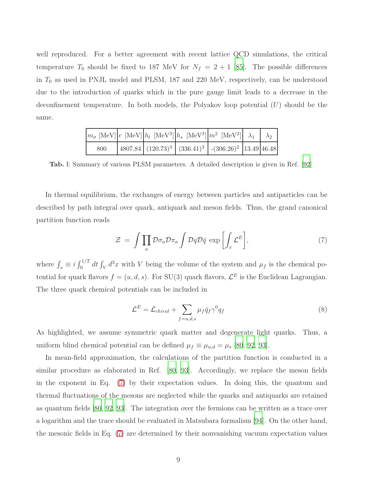well reproduced. For a better agreement with recent lattice QCD simulations, the critical temperature  $T_0$  should be fixed to 187 MeV for  $N_f = 2 + 1$  [\[85](#page-37-1)]. The possible differences in  $T_0$  as used in PNJL model and PLSM, 187 and 220 MeV, respectively, can be understood due to the introduction of quarks which in the pure gauge limit leads to a decrease in the deconfinement temperature. In both models, the Polyakov loop potential  $(U)$  should be the same.

|     |  | $\left m_{\sigma}\text{ [MeV]}\right c\text{ [MeV]}\left h_l\text{ [MeV}^3\right \left h_s\text{ [MeV}^3\right \left m^2\text{ [MeV}^2\right \right \lambda_1 \lambda_2)$ |  |
|-----|--|---------------------------------------------------------------------------------------------------------------------------------------------------------------------------|--|
| 800 |  | $\left  4807.84 \right  (120.73)^{3} \left  (336.41)^{3} \right $ - $(306.26)^{2}$ 13.49 46.48                                                                            |  |

<span id="page-8-1"></span>Tab. I: Summary of various PLSM parameters. A detailed description is given in Ref. [\[92](#page-37-6)]

In thermal equilibrium, the exchanges of energy between particles and antiparticles can be described by path integral over quark, antiquark and meson fields. Thus, the grand canonical partition function reads

<span id="page-8-0"></span>
$$
\mathcal{Z} = \int \prod_{a} \mathcal{D} \sigma_a \mathcal{D} \pi_a \int \mathcal{D} q \mathcal{D} \bar{q} \, \exp\left[\int_x \mathcal{L}^E\right],\tag{7}
$$

where  $\int_x \equiv i \int_0^{1/T} dt \int_V d^3x$  with V being the volume of the system and  $\mu_f$  is the chemical potential for quark flavors  $f = (u, d, s)$ . For SU(3) quark flavors,  $\mathcal{L}^E$  is the Euclidean Lagrangian. The three quark chemical potentials can be included in

$$
\mathcal{L}^{E} = \mathcal{L}_{chiral} + \sum_{f=u,d,s} \mu_f \bar{q}_f \gamma^0 q_f \tag{8}
$$

As highlighted, we assume symmetric quark matter and degenerate light quarks. Thus, a uniform blind chemical potential can be defined  $\mu_f \equiv \mu_{u,d} = \mu_s$  [\[80](#page-36-10), [92](#page-37-6), [93](#page-37-7)].

In mean-field approximation, the calculations of the partition function is conducted in a similar procedure as elaborated in Ref. [\[80](#page-36-10), [93\]](#page-37-7). Accordingly, we replace the meson fields in the exponent in Eq. [\(7\)](#page-8-0) by their expectation values. In doing this, the quantum and thermal fluctuations of the mesons are neglected while the quarks and antiquarks are retained as quantum fields [\[80,](#page-36-10) [92](#page-37-6), [93\]](#page-37-7). The integration over the fermions can be written as a trace over a logarithm and the trace should be evaluated in Matsubara formalism [\[94](#page-37-8)]. On the other hand, the mesonic fields in Eq. [\(7\)](#page-8-0) are determined by their nonvanishing vacuum expectation values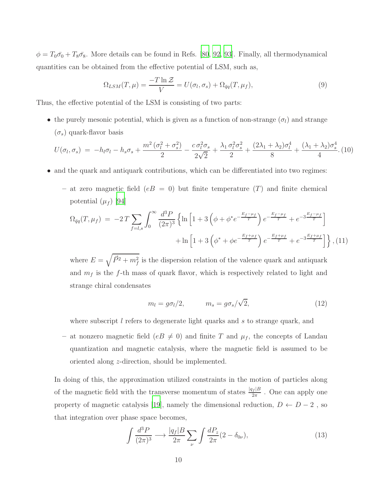$\phi = T_0\bar{\sigma}_0 + T_8\bar{\sigma}_8$ . More details can be found in Refs. [\[80,](#page-36-10) [92,](#page-37-6) [93](#page-37-7)]. Finally, all thermodynamical quantities can be obtained from the effective potential of LSM, such as,

$$
\Omega_{LSM}(T,\mu) = \frac{-T \ln \mathcal{Z}}{V} = U(\sigma_l, \sigma_s) + \Omega_{\bar{q}q}(T, \mu_f),\tag{9}
$$

Thus, the effective potential of the LSM is consisting of two parts:

• the purely mesonic potential, which is given as a function of non-strange  $(\sigma_l)$  and strange  $(\sigma_s)$  quark-flavor basis

<span id="page-9-2"></span>
$$
U(\sigma_l, \sigma_s) = -h_l \sigma_l - h_s \sigma_s + \frac{m^2 (\sigma_l^2 + \sigma_s^2)}{2} - \frac{c \sigma_l^2 \sigma_s}{2\sqrt{2}} + \frac{\lambda_1 \sigma_l^2 \sigma_s^2}{2} + \frac{(2\lambda_1 + \lambda_2) \sigma_l^4}{8} + \frac{(\lambda_1 + \lambda_2) \sigma_s^4}{4}.
$$
 (10)

• and the quark and antiquark contributions, which can be differentiated into two regimes:

– at zero magnetic field ( $eB = 0$ ) but finite temperature (T) and finite chemical potential  $(\mu_f)$  [\[94\]](#page-37-8)

<span id="page-9-0"></span>
$$
\Omega_{\bar{q}q}(T,\mu_f) = -2T \sum_{f=l,s} \int_0^\infty \frac{d^3 P}{(2\pi)^3} \left\{ \ln \left[ 1 + 3\left(\phi + \phi^* e^{-\frac{E_f - \mu_f}{T}}\right) e^{-\frac{E_f - \mu_f}{T}} + e^{-3\frac{E_f - \mu_f}{T}} \right] + \ln \left[ 1 + 3\left(\phi^* + \phi e^{-\frac{E_f + \mu_f}{T}}\right) e^{-\frac{E_f + \mu_f}{T}} + e^{-3\frac{E_f + \mu_f}{T}} \right] \right\}, (11)
$$

where  $E = \sqrt{\vec{P}^2 + m_f^2}$  is the dispersion relation of the valence quark and antiquark and  $m_f$  is the f-th mass of quark flavor, which is respectively related to light and strange chiral condensates

<span id="page-9-1"></span>
$$
m_l = g\sigma_l/2, \qquad m_s = g\sigma_s/\sqrt{2}, \qquad (12)
$$

where subscript  $l$  refers to degenerate light quarks and s to strange quark, and

– at nonzero magnetic field ( $eB \neq 0$ ) and finite T and  $\mu_f$ , the concepts of Landau quantization and magnetic catalysis, where the magnetic field is assumed to be oriented along z-direction, should be implemented.

In doing of this, the approximation utilized constraints in the motion of particles along of the magnetic field with the transverse momentum of states  $\frac{|q_f|B}{2\pi}$ . One can apply one property of magnetic catalysis [\[19](#page-34-3)], namely the dimensional reduction,  $D \leftarrow D - 2$ , so that integration over phase space becomes,

$$
\int \frac{d^3 P}{(2\pi)^3} \longrightarrow \frac{|q_f| B}{2\pi} \sum_{\nu} \int \frac{dP_z}{2\pi} (2 - \delta_{0\nu}),\tag{13}
$$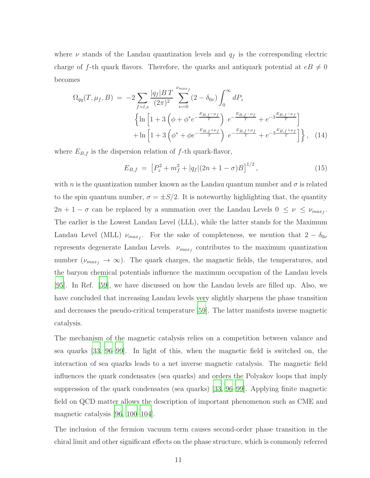where  $\nu$  stands of the Landau quantization levels and  $q_f$  is the corresponding electric charge of f-th quark flavors. Therefore, the quarks and antiquark potential at  $eB \neq 0$ becomes

<span id="page-10-0"></span>
$$
\Omega_{\bar{q}q}(T,\mu_{f},B) = -2 \sum_{f=l,s} \frac{|q_{f}|BT}{(2\pi)^{2}} \sum_{\nu=0}^{\nu_{maxf}} (2-\delta_{0\nu}) \int_{0}^{\infty} dP_{z} \left\{ \ln \left[ 1 + 3 \left( \phi + \phi^{*}e^{-\frac{E_{B,f} - \mu_{f}}{T}} \right) e^{-\frac{E_{B,f} - \mu_{f}}{T}} + e^{-3\frac{E_{B,f} - \mu_{f}}{T}} \right] + \ln \left[ 1 + 3 \left( \phi^{*} + \phi e^{-\frac{E_{B,f} + \mu_{f}}{T}} \right) e^{-\frac{E_{B,f} + \mu_{f}}{T}} + e^{-3\frac{E_{B,f} + \mu_{f}}{T}} \right] \right\}, \quad (14)
$$

where  $E_{B,f}$  is the dispersion relation of f-th quark-flavor,

$$
E_{B,f} = \left[ P_z^2 + m_f^2 + |q_f|(2n+1-\sigma)B \right]^{1/2},\tag{15}
$$

with n is the quantization number known as the Landau quantum number and  $\sigma$  is related to the spin quantum number,  $\sigma = \pm S/2$ . It is noteworthy highlighting that, the quantity  $2n + 1 - \sigma$  can be replaced by a summation over the Landau Levels  $0 \leq \nu \leq \nu_{max_f}$ . The earlier is the Lowest Landau Level (LLL), while the latter stands for the Maximum Landau Level (MLL)  $\nu_{max_f}$ . For the sake of completeness, we mention that  $2 - \delta_{0\nu}$ represents degenerate Landau Levels.  $\nu_{max_f}$  contributes to the maximum quantization number ( $\nu_{max_f} \rightarrow \infty$ ). The quark charges, the magnetic fields, the temperatures, and the baryon chemical potentials influence the maximum occupation of the Landau levels [\[95\]](#page-37-9). In Ref. [\[59](#page-35-16)], we have discussed on how the Landau levels are filled up. Also, we have concluded that increasing Landau levels very slightly sharpens the phase transition and decreases the pseudo-critical temperature [\[59](#page-35-16)]. The latter manifests inverse magnetic catalysis.

The mechanism of the magnetic catalysis relies on a competition between valance and sea quarks [\[33,](#page-34-16) [96](#page-37-10)[–99\]](#page-37-11). In light of this, when the magnetic field is switched on, the interaction of sea quarks leads to a net inverse magnetic catalysis. The magnetic field influences the quark condensates (sea quarks) and orders the Polyakov loops that imply suppression of the quark condensates (sea quarks) [\[33](#page-34-16), [96](#page-37-10)[–99\]](#page-37-11). Applying finite magnetic field on QCD matter allows the description of important phenomenon such as CME and magnetic catalysis [\[96](#page-37-10), [100](#page-37-12)[–104](#page-37-13)].

The inclusion of the fermion vacuum term causes second-order phase transition in the chiral limit and other significant effects on the phase structure, which is commonly referred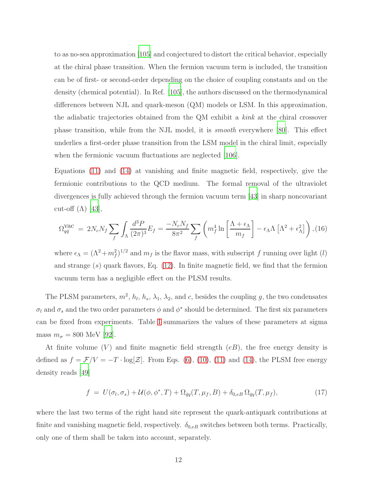to as no-sea approximation [\[105](#page-37-14)] and conjectured to distort the critical behavior, especially at the chiral phase transition. When the fermion vacuum term is included, the transition can be of first- or second-order depending on the choice of coupling constants and on the density (chemical potential). In Ref. [\[105\]](#page-37-14), the authors discussed on the thermodynamical differences between NJL and quark-meson (QM) models or LSM. In this approximation, the adiabatic trajectories obtained from the QM exhibit a kink at the chiral crossover phase transition, while from the NJL model, it is smooth everywhere [\[80](#page-36-10)]. This effect underlies a first-order phase transition from the LSM model in the chiral limit, especially when the fermionic vacuum fluctuations are neglected [\[106](#page-37-15)].

Equations [\(11\)](#page-9-0) and [\(14\)](#page-10-0) at vanishing and finite magnetic field, respectively, give the fermionic contributions to the QCD medium. The formal removal of the ultraviolet divergences is fully achieved through the fermion vacuum term [\[43\]](#page-35-2) in sharp noncovariant cut-off  $(\Lambda)$  [\[43\]](#page-35-2),

$$
\Omega_{q\bar{q}}^{\text{vac}} = 2N_c N_f \sum_{f} \int_{\Lambda} \frac{d^3 P}{(2\pi)^3} E_f = \frac{-N_c N_f}{8\pi^2} \sum_{f} \left( m_f^4 \ln \left[ \frac{\Lambda + \epsilon_{\Lambda}}{m_f} \right] - \epsilon_{\Lambda} \Lambda \left[ \Lambda^2 + \epsilon_{\Lambda}^2 \right] \right), (16)
$$

where  $\epsilon_{\Lambda} = (\Lambda^2 + m_f^2)^{1/2}$  and  $m_f$  is the flavor mass, with subscript f running over light (l) and strange  $(s)$  quark flavors, Eq.  $(12)$ . In finite magnetic field, we find that the fermion vacuum term has a negligible effect on the PLSM results.

The PLSM parameters,  $m^2$ ,  $h_l$ ,  $h_s$ ,  $\lambda_1$ ,  $\lambda_2$ , and c, besides the coupling g, the two condensates  $\sigma_l$  and  $\sigma_s$  and the two order parameters  $\phi$  and  $\phi^*$  should be determined. The first six parameters can be fixed from experiments. Table [I](#page-8-1) summarizes the values of these parameters at sigma mass  $m_{\sigma} = 800$  MeV [\[92\]](#page-37-6).

At finite volume  $(V)$  and finite magnetic field strength  $(eB)$ , the free energy density is defined as  $f = \mathcal{F}/V = -T \cdot \log[\mathcal{Z}]$ . From Eqs. [\(6\)](#page-7-0), [\(10\)](#page-9-2), [\(11\)](#page-9-0) and [\(14\)](#page-10-0), the PLSM free energy density reads [\[49](#page-35-8)]

<span id="page-11-0"></span>
$$
f = U(\sigma_l, \sigma_s) + \mathcal{U}(\phi, \phi^*, T) + \Omega_{\bar{q}q}(T, \mu_f, B) + \delta_{0,e} \Omega_{\bar{q}q}(T, \mu_f), \tag{17}
$$

where the last two terms of the right hand site represent the quark-antiquark contributions at finite and vanishing magnetic field, respectively.  $\delta_{0,e}$  switches between both terms. Practically, only one of them shall be taken into account, separately.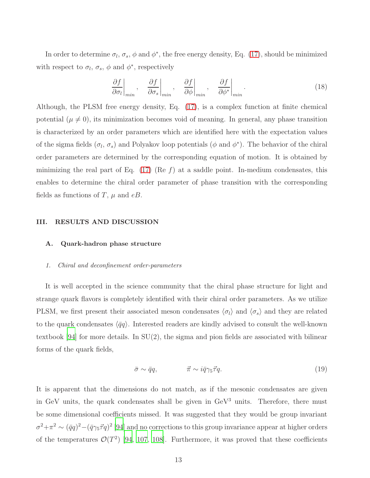In order to determine  $\sigma_l$ ,  $\sigma_s$ ,  $\phi$  and  $\phi^*$ , the free energy density, Eq. [\(17\)](#page-11-0), should be minimized with respect to  $\sigma_l$ ,  $\sigma_s$ ,  $\phi$  and  $\phi^*$ , respectively

<span id="page-12-3"></span>
$$
\left. \frac{\partial f}{\partial \sigma_l} \right|_{\min}, \quad \left. \frac{\partial f}{\partial \sigma_s} \right|_{\min}, \quad \left. \frac{\partial f}{\partial \phi} \right|_{\min}, \quad \left. \frac{\partial f}{\partial \phi^*} \right|_{\min}.
$$
\n(18)

Although, the PLSM free energy density, Eq. [\(17\)](#page-11-0), is a complex function at finite chemical potential  $(\mu \neq 0)$ , its minimization becomes void of meaning. In general, any phase transition is characterized by an order parameters which are identified here with the expectation values of the sigma fields  $(\sigma_l, \sigma_s)$  and Polyakov loop potentials  $(\phi \text{ and } \phi^*)$ . The behavior of the chiral order parameters are determined by the corresponding equation of motion. It is obtained by minimizing the real part of Eq.  $(17)$  (Re f) at a saddle point. In-medium condensates, this enables to determine the chiral order parameter of phase transition with the corresponding fields as functions of T,  $\mu$  and eB.

#### <span id="page-12-0"></span>III. RESULTS AND DISCUSSION

#### <span id="page-12-1"></span>A. Quark-hadron phase structure

#### <span id="page-12-2"></span>1. Chiral and deconfinement order-parameters

It is well accepted in the science community that the chiral phase structure for light and strange quark flavors is completely identified with their chiral order parameters. As we utilize PLSM, we first present their associated meson condensates  $\langle \sigma_l \rangle$  and  $\langle \sigma_s \rangle$  and they are related to the quark condensates  $\langle \bar{q}q \rangle$ . Interested readers are kindly advised to consult the well-known textbook [\[94](#page-37-8)] for more details. In SU(2), the sigma and pion fields are associated with bilinear forms of the quark fields,

$$
\bar{\sigma} \sim \bar{q}q, \qquad \qquad \vec{\pi} \sim i\bar{q}\gamma_5 \vec{\tau}q. \tag{19}
$$

It is apparent that the dimensions do not match, as if the mesonic condensates are given in GeV units, the quark condensates shall be given in  $\text{GeV}^3$  units. Therefore, there must be some dimensional coefficients missed. It was suggested that they would be group invariant  $\sigma^2+\pi^2 \sim (\bar{q}q)^2-(\bar{q}\gamma_5\vec{\tau}q)^2$  [\[94\]](#page-37-8) and no corrections to this group invariance appear at higher orders of the temperatures  $\mathcal{O}(T^2)$  [\[94,](#page-37-8) [107](#page-37-16), [108\]](#page-37-17). Furthermore, it was proved that these coefficients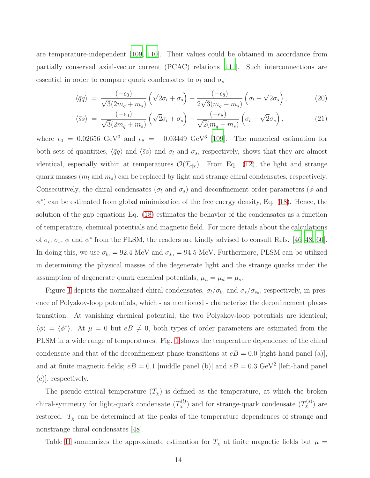are temperature-independent [\[109](#page-38-0), [110\]](#page-38-1). Their values could be obtained in accordance from partially conserved axial-vector current (PCAC) relations [\[111](#page-38-2)]. Such interconnections are essential in order to compare quark condensates to  $\sigma_l$  and  $\sigma_s$ 

<span id="page-13-0"></span>
$$
\langle \bar{q}q \rangle = \frac{(-\epsilon_0)}{\sqrt{3}(2m_q + m_s)} \left( \sqrt{2}\sigma_l + \sigma_s \right) + \frac{(-\epsilon_8)}{2\sqrt{3}(m_q - m_s)} \left( \sigma_l - \sqrt{2}\sigma_s \right), \tag{20}
$$

$$
\langle \bar{s}s \rangle = \frac{(-\epsilon_0)}{\sqrt{3}(2m_q + m_s)} \left( \sqrt{2}\sigma_l + \sigma_s \right) - \frac{(-\epsilon_8)}{\sqrt{2}(m_q - m_s)} \left( \sigma_l - \sqrt{2}\sigma_s \right), \tag{21}
$$

where  $\epsilon_0 = 0.02656 \text{ GeV}^3$  and  $\epsilon_8 = -0.03449 \text{ GeV}^3$  [\[109\]](#page-38-0). The numerical estimation for both sets of quantities,  $\langle \bar{q}q \rangle$  and  $\langle \bar{s}s \rangle$  and  $\sigma_l$  and  $\sigma_s$ , respectively, shows that they are almost identical, especially within at temperatures  $\mathcal{O}(T_{c}|\chi)$ . From Eq. [\(12\)](#page-9-1), the light and strange quark masses  $(m_l \text{ and } m_s)$  can be replaced by light and strange chiral condensates, respectively. Consecutively, the chiral condensates ( $\sigma_l$  and  $\sigma_s$ ) and deconfinement order-parameters ( $\phi$  and  $\phi^*$ ) can be estimated from global minimization of the free energy density, Eq. [\(18\)](#page-12-3). Hence, the solution of the gap equations Eq. [\(18\)](#page-12-3) estimates the behavior of the condensates as a function of temperature, chemical potentials and magnetic field. For more details about the calculations of  $\sigma_l$ ,  $\sigma_s$ ,  $\phi$  and  $\phi^*$  from the PLSM, the readers are kindly advised to consult Refs. [\[46](#page-35-5)[–48,](#page-35-7) [60](#page-35-17)]. In doing this, we use  $\sigma_{l_0} = 92.4 \text{ MeV}$  and  $\sigma_{s_0} = 94.5 \text{ MeV}$ . Furthermore, PLSM can be utilized in determining the physical masses of the degenerate light and the strange quarks under the assumption of degenerate quark chemical potentials,  $\mu_u = \mu_d = \mu_s$ .

Figure [1](#page-14-1) depicts the normalized chiral condensates,  $\sigma_l/\sigma_{l_0}$  and  $\sigma_s/\sigma_{s_0}$ , respectively, in presence of Polyakov-loop potentials, which - as mentioned - characterize the deconfinement phasetransition. At vanishing chemical potential, the two Polyakov-loop potentials are identical;  $\langle \phi \rangle = \langle \phi^* \rangle$ . At  $\mu = 0$  but  $eB \neq 0$ , both types of order parameters are estimated from the PLSM in a wide range of temperatures. Fig. [1](#page-14-1) shows the temperature dependence of the chiral condensate and that of the deconfinement phase-transitions at  $eB = 0.0$  [right-hand panel (a)], and at finite magnetic fields;  $eB = 0.1$  [middle panel (b)] and  $eB = 0.3$  GeV<sup>2</sup> [left-hand panel (c)], respectively.

The pseudo-critical temperature  $(T_{\chi})$  is defined as the temperature, at which the broken chiral-symmetry for light-quark condensate  $(T_{\chi}^{(l)})$  and for strange-quark condensate  $(T_{\chi}^{(s)})$  are restored.  $T_{\chi}$  can be determined at the peaks of the temperature dependences of strange and nonstrange chiral condensates [\[48\]](#page-35-7).

Table [II](#page-14-2) summarizes the approximate estimation for  $T<sub>x</sub>$  at finite magnetic fields but  $\mu$  =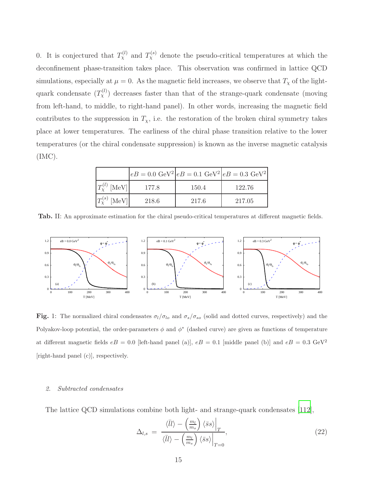0. It is conjectured that  $T_{\chi}^{(l)}$  and  $T_{\chi}^{(s)}$  denote the pseudo-critical temperatures at which the deconfinement phase-transition takes place. This observation was confirmed in lattice QCD simulations, especially at  $\mu = 0$ . As the magnetic field increases, we observe that  $T_{\chi}$  of the lightquark condensate  $(T_\chi^{(l)})$  decreases faster than that of the strange-quark condensate (moving from left-hand, to middle, to right-hand panel). In other words, increasing the magnetic field contributes to the suppression in  $T_{\chi}$ , i.e. the restoration of the broken chiral symmetry takes place at lower temperatures. The earliness of the chiral phase transition relative to the lower temperatures (or the chiral condensate suppression) is known as the inverse magnetic catalysis (IMC).

|                         |       |       | $ eB = 0.0 \text{ GeV}^2 eB = 0.1 \text{ GeV}^2 eB = 0.3 \text{ GeV}^2 $ |
|-------------------------|-------|-------|--------------------------------------------------------------------------|
| $T_{\rm Y}^{(l)}$ [MeV] | 177.8 | 150.4 | 122.76                                                                   |
| $T_{\rm v}^{(s)}$ [MeV] | 218.6 | 217.6 | 217.05                                                                   |

<span id="page-14-2"></span>Tab. II: An approximate estimation for the chiral pseudo-critical temperatures at different magnetic fields.



<span id="page-14-1"></span>Fig. 1: The normalized chiral condensates  $\sigma_l/\sigma_{lo}$  and  $\sigma_s/\sigma_{so}$  (solid and dotted curves, respectively) and the Polyakov-loop potential, the order-parameters  $\phi$  and  $\phi^*$  (dashed curve) are given as functions of temperature at different magnetic fields  $eB = 0.0$  [left-hand panel (a)],  $eB = 0.1$  [middle panel (b)] and  $eB = 0.3$  GeV<sup>2</sup> [right-hand panel (c)], respectively.

### <span id="page-14-0"></span>2. Subtracted condensates

The lattice QCD simulations combine both light- and strange-quark condensates [\[112\]](#page-38-3),

$$
\Delta_{l,s} = \frac{\langle \bar{l}l \rangle - \left(\frac{m_l}{m_s}\right) \langle \bar{s}s \rangle \Big|_T}{\langle \bar{l}l \rangle - \left(\frac{m_l}{m_s}\right) \langle \bar{s}s \rangle \Big|_{T=0}},\tag{22}
$$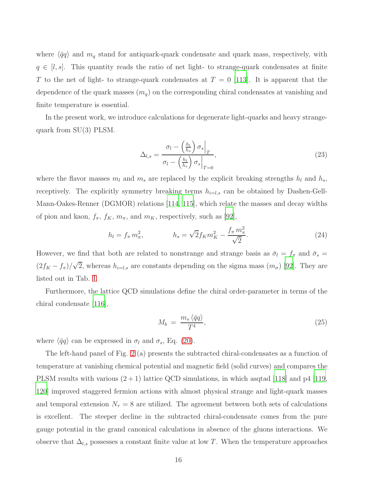where  $\langle \bar{q}q \rangle$  and  $m_q$  stand for antiquark-quark condensate and quark mass, respectively, with  $q \in [l, s]$ . This quantity reads the ratio of net light- to strange-quark condensates at finite T to the net of light- to strange-quark condensates at  $T = 0$  [\[113\]](#page-38-4). It is apparent that the dependence of the quark masses  $(m_q)$  on the corresponding chiral condensates at vanishing and finite temperature is essential.

In the present work, we introduce calculations for degenerate light-quarks and heavy strangequark from SU(3) PLSM.

$$
\Delta_{l,s} = \frac{\sigma_l - \left(\frac{h_l}{h_s}\right)\sigma_s\Big|_T}{\sigma_l - \left(\frac{h_l}{h_s}\right)\sigma_s\Big|_{T=0}},\tag{23}
$$

where the flavor masses  $m_l$  and  $m_s$  are replaced by the explicit breaking strengths  $h_l$  and  $h_s$ , receptively. The explicitly symmetry breaking terms  $h_{i=l,s}$  can be obtained by Dashen-Gell-Mann-Oakes-Renner (DGMOR) relations [\[114,](#page-38-5) [115\]](#page-38-6), which relate the masses and decay widths of pion and kaon,  $f_{\pi}$ ,  $f_K$ ,  $m_{\pi}$ , and  $m_K$ , respectively, such as [\[92\]](#page-37-6),

$$
h_l = f_\pi m_\pi^2, \qquad h_s = \sqrt{2} f_K m_K^2 - \frac{f_\pi m_\pi^2}{\sqrt{2}}.
$$
 (24)

However, we find that both are related to nonstrange and strange basis as  $\bar{\sigma}_l = f_{\pi}$  and  $\bar{\sigma}_s =$  $(2f_K - f_\pi)/\sqrt{2}$ , whereas  $h_{i=l,s}$  are constants depending on the sigma mass  $(m_\sigma)$  [\[92\]](#page-37-6). They are listed out in Tab. [I.](#page-8-1)

Furthermore, the lattice QCD simulations define the chiral order-parameter in terms of the chiral condensate [\[116\]](#page-38-7),

<span id="page-15-0"></span>
$$
M_b = \frac{m_s \langle \bar{q}q \rangle}{T^4},\tag{25}
$$

where  $\langle \bar{q}q \rangle$  can be expressed in  $\sigma_l$  and  $\sigma_s$ , Eq. [\(20\)](#page-13-0).

The left-hand panel of Fig. [2](#page-16-1) (a) presents the subtracted chiral-condensates as a function of temperature at vanishing chemical potential and magnetic field (solid curves) and compares the PLSM results with various  $(2 + 1)$  lattice QCD simulations, in which asqtad [\[118](#page-38-8)] and p4 [\[119,](#page-38-9) [120\]](#page-38-10) improved staggered fermion actions with almost physical strange and light-quark masses and temporal extension  $N_{\tau} = 8$  are utilized. The agreement between both sets of calculations is excellent. The steeper decline in the subtracted chiral-condensate comes from the pure gauge potential in the grand canonical calculations in absence of the gluons interactions. We observe that  $\Delta_{l,s}$  possesses a constant finite value at low T. When the temperature approaches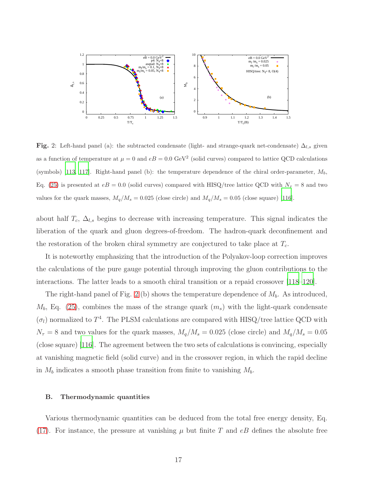

<span id="page-16-1"></span>Fig. 2: Left-hand panel (a): the subtracted condensate (light- and strange-quark net-condensate)  $\Delta_{l,s}$  given as a function of temperature at  $\mu = 0$  and  $eB = 0.0$  GeV<sup>2</sup> (solid curves) compared to lattice QCD calculations (symbols) [\[113](#page-38-4), [117](#page-38-11)]. Right-hand panel (b): the temperature dependence of the chiral order-parameter,  $M_b$ , Eq. [\(25\)](#page-15-0) is presented at  $eB = 0.0$  (solid curves) compared with HISQ/tree lattice QCD with  $N<sub>\tau</sub> = 8$  and two values for the quark masses,  $M_q/M_s = 0.025$  (close circle) and  $M_q/M_s = 0.05$  (close square) [\[116](#page-38-7)].

about half  $T_c$ ,  $\Delta_{l,s}$  begins to decrease with increasing temperature. This signal indicates the liberation of the quark and gluon degrees-of-freedom. The hadron-quark deconfinement and the restoration of the broken chiral symmetry are conjectured to take place at  $T_c$ .

It is noteworthy emphasizing that the introduction of the Polyakov-loop correction improves the calculations of the pure gauge potential through improving the gluon contributions to the interactions. The latter leads to a smooth chiral transition or a repaid crossover [\[118](#page-38-8)[–120](#page-38-10)].

The right-hand panel of Fig. [2](#page-16-1) (b) shows the temperature dependence of  $M_b$ . As introduced,  $M_b$ , Eq. [\(25\)](#page-15-0), combines the mass of the strange quark  $(m_s)$  with the light-quark condensate  $(\sigma_l)$  normalized to  $T^4$ . The PLSM calculations are compared with HISQ/tree lattice QCD with  $N_{\tau} = 8$  and two values for the quark masses,  $M_q/M_s = 0.025$  (close circle) and  $M_q/M_s = 0.05$ (close square) [\[116\]](#page-38-7). The agreement between the two sets of calculations is convincing, especially at vanishing magnetic field (solid curve) and in the crossover region, in which the rapid decline in  $M_b$  indicates a smooth phase transition from finite to vanishing  $M_b$ .

#### <span id="page-16-0"></span>B. Thermodynamic quantities

Various thermodynamic quantities can be deduced from the total free energy density, Eq. [\(17\)](#page-11-0). For instance, the pressure at vanishing  $\mu$  but finite T and eB defines the absolute free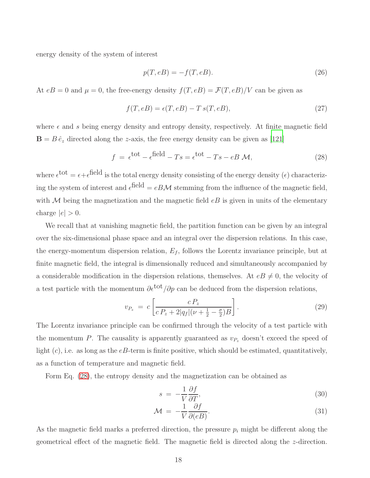energy density of the system of interest

$$
p(T, eB) = -f(T, eB). \tag{26}
$$

At  $eB = 0$  and  $\mu = 0$ , the free-energy density  $f(T, eB) = \mathcal{F}(T, eB)/V$  can be given as

$$
f(T, eB) = \epsilon(T, eB) - T s(T, eB), \qquad (27)
$$

where  $\epsilon$  and s being energy density and entropy density, respectively. At finite magnetic field  $\mathbf{B} = B \hat{e}_z$  directed along the *z*-axis, the free energy density can be given as [\[121\]](#page-38-12)

<span id="page-17-0"></span>
$$
f = \epsilon^{\text{tot}} - \epsilon^{\text{field}} - Ts = \epsilon^{\text{tot}} - Ts - eB \mathcal{M}, \qquad (28)
$$

where  $\epsilon^{\text{tot}} = \epsilon + \epsilon^{\text{field}}$  is the total energy density consisting of the energy density  $(\epsilon)$  characterizing the system of interest and  $\epsilon^{\text{field}} = eB\mathcal{M}$  stemming from the influence of the magnetic field, with  $M$  being the magnetization and the magnetic field  $eB$  is given in units of the elementary charge  $|e| > 0$ .

We recall that at vanishing magnetic field, the partition function can be given by an integral over the six-dimensional phase space and an integral over the dispersion relations. In this case, the energy-momentum dispersion relation,  $E_f$ , follows the Lorentz invariance principle, but at finite magnetic field, the integral is dimensionally reduced and simultaneously accompanied by a considerable modification in the dispersion relations, themselves. At  $eB \neq 0$ , the velocity of a test particle with the momentum  $\partial \epsilon^{tot}/\partial p$  can be deduced from the dispersion relations,

$$
v_{P_z} = c \left[ \frac{c P_z}{c P_z + 2|q_f| (\nu + \frac{1}{2} - \frac{\sigma}{2})B} \right].
$$
\n(29)

The Lorentz invariance principle can be confirmed through the velocity of a test particle with the momentum P. The causality is apparently guaranteed as  $v_{P_z}$  doesn't exceed the speed of light  $(c)$ , i.e. as long as the  $eB$ -term is finite positive, which should be estimated, quantitatively, as a function of temperature and magnetic field.

Form Eq. [\(28\)](#page-17-0), the entropy density and the magnetization can be obtained as

<span id="page-17-1"></span>
$$
s = -\frac{1}{V} \frac{\partial f}{\partial T},\tag{30}
$$

$$
\mathcal{M} = -\frac{1}{V} \frac{\partial f}{\partial (eB)}.
$$
\n(31)

As the magnetic field marks a preferred direction, the pressure  $p_i$  might be different along the geometrical effect of the magnetic field. The magnetic field is directed along the z-direction.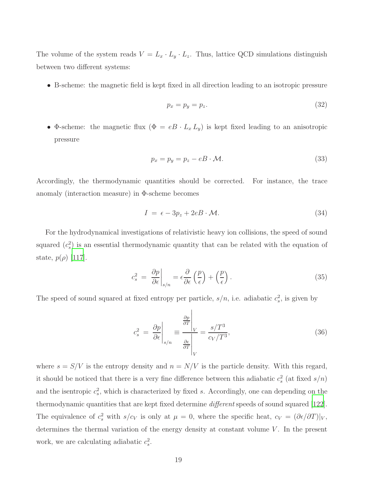The volume of the system reads  $V = L_x \cdot L_y \cdot L_z$ . Thus, lattice QCD simulations distinguish between two different systems:

• B-scheme: the magnetic field is kept fixed in all direction leading to an isotropic pressure

$$
p_x = p_y = p_z. \tag{32}
$$

• Φ-scheme: the magnetic flux  $(\Phi = eB \cdot L_x L_y)$  is kept fixed leading to an anisotropic pressure

$$
p_x = p_y = p_z - eB \cdot \mathcal{M}.
$$
\n(33)

Accordingly, the thermodynamic quantities should be corrected. For instance, the trace anomaly (interaction measure) in  $\Phi$ -scheme becomes

<span id="page-18-0"></span>
$$
I = \epsilon - 3p_z + 2eB \cdot \mathcal{M}.
$$
 (34)

For the hydrodynamical investigations of relativistic heavy ion collisions, the speed of sound squared  $(c_s^2)$  is an essential thermodynamic quantity that can be related with the equation of state,  $p(\rho)$  [\[117\]](#page-38-11).

<span id="page-18-2"></span>
$$
c_s^2 = \left. \frac{\partial p}{\partial \epsilon} \right|_{s/n} = \epsilon \frac{\partial}{\partial \epsilon} \left( \frac{p}{\epsilon} \right) + \left( \frac{p}{\epsilon} \right). \tag{35}
$$

The speed of sound squared at fixed entropy per particle,  $s/n$ , i.e. adiabatic  $c_s^2$ , is given by

<span id="page-18-1"></span>
$$
c_s^2 = \left. \frac{\partial p}{\partial \epsilon} \right|_{s/n} \equiv \frac{\left. \frac{\partial p}{\partial T} \right|_V}{\left. \frac{\partial \epsilon}{\partial T} \right|_V} = \frac{s/T^3}{c_V/T^3},\tag{36}
$$

where  $s = S/V$  is the entropy density and  $n = N/V$  is the particle density. With this regard, it should be noticed that there is a very fine difference between this adiabatic  $c_s^2$  (at fixed  $s/n$ ) and the isentropic  $c_s^2$ , which is characterized by fixed s. Accordingly, one can depending on the thermodynamic quantities that are kept fixed determine different speeds of sound squared [\[122\]](#page-38-13). The equivalence of  $c_s^2$  with  $s/c_V$  is only at  $\mu = 0$ , where the specific heat,  $c_V = (\partial \epsilon / \partial T)|_V$ , determines the thermal variation of the energy density at constant volume  $V$ . In the present work, we are calculating adiabatic  $c_s^2$ .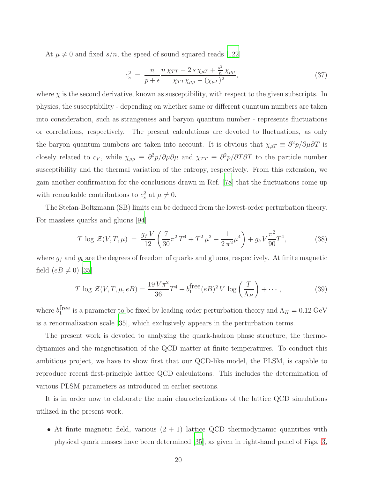At  $\mu \neq 0$  and fixed  $s/n$ , the speed of sound squared reads [\[122](#page-38-13)]

$$
c_s^2 = \frac{n}{p + \epsilon} \frac{n \chi_{TT} - 2 s \chi_{\mu T} + \frac{s^2}{n} \chi_{\mu \mu}}{\chi_{TT} \chi_{\mu \mu} - (\chi_{\mu T})^2},\tag{37}
$$

where  $\chi$  is the second derivative, known as susceptibility, with respect to the given subscripts. In physics, the susceptibility - depending on whether same or different quantum numbers are taken into consideration, such as strangeness and baryon quantum number - represents fluctuations or correlations, respectively. The present calculations are devoted to fluctuations, as only the baryon quantum numbers are taken into account. It is obvious that  $\chi_{\mu}T \equiv \partial^2 p/\partial \mu \partial T$  is closely related to  $c_V$ , while  $\chi_{\mu\mu} \equiv \partial^2 p/\partial \mu \partial \mu$  and  $\chi_{TT} \equiv \partial^2 p/\partial T \partial T$  to the particle number susceptibility and the thermal variation of the entropy, respectively. From this extension, we gain another confirmation for the conclusions drawn in Ref. [\[78\]](#page-36-8) that the fluctuations come up with remarkable contributions to  $c_s^2$  at  $\mu \neq 0$ .

The Stefan-Boltzmann (SB) limits can be deduced from the lowest-order perturbation theory. For massless quarks and gluons [\[94\]](#page-37-8)

$$
T \log \mathcal{Z}(V, T, \mu) = \frac{g_f V}{12} \left( \frac{7}{30} \pi^2 T^4 + T^2 \mu^2 + \frac{1}{2 \pi^2} \mu^4 \right) + g_b V \frac{\pi^2}{90} T^4,\tag{38}
$$

where  $g_f$  and  $g_b$  are the degrees of freedom of quarks and gluons, respectively. At finite magnetic field  $(eB \neq 0)$  [\[35\]](#page-34-10)

$$
T \log \mathcal{Z}(V, T, \mu, eB) = \frac{19 V \pi^2}{36} T^4 + b_1^{\text{free}} (eB)^2 V \log \left(\frac{T}{\Lambda_H}\right) + \cdots,
$$
 (39)

where  $b_1^{\text{free}}$  is a parameter to be fixed by leading-order perturbation theory and  $\Lambda_H = 0.12 \text{ GeV}$ is a renormalization scale [\[35](#page-34-10)], which exclusively appears in the perturbation terms.

The present work is devoted to analyzing the quark-hadron phase structure, the thermodynamics and the magnetisation of the QCD matter at finite temperatures. To conduct this ambitious project, we have to show first that our QCD-like model, the PLSM, is capable to reproduce recent first-principle lattice QCD calculations. This includes the determination of various PLSM parameters as introduced in earlier sections.

It is in order now to elaborate the main characterizations of the lattice QCD simulations utilized in the present work.

• At finite magnetic field, various  $(2 + 1)$  lattice QCD thermodynamic quantities with physical quark masses have been determined [\[35\]](#page-34-10), as given in right-hand panel of Figs. [3,](#page-21-1)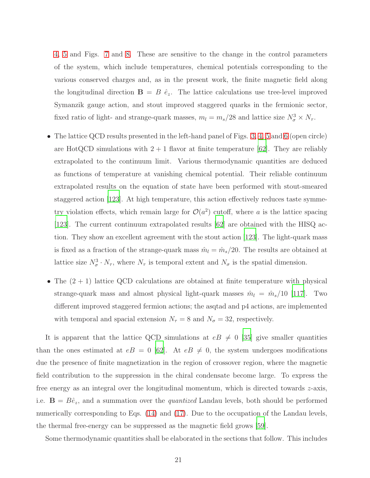[4,](#page-23-1) [5](#page-25-1) and Figs. [7](#page-28-0) and [8.](#page-30-0) These are sensitive to the change in the control parameters of the system, which include temperatures, chemical potentials corresponding to the various conserved charges and, as in the present work, the finite magnetic field along the longitudinal direction  $\mathbf{B} = B \hat{e}_z$ . The lattice calculations use tree-level improved Symanzik gauge action, and stout improved staggered quarks in the fermionic sector, fixed ratio of light- and strange-quark masses,  $m_l = m_s/28$  and lattice size  $N_{\sigma}^3 \times N_{\tau}$ .

- The lattice QCD results presented in the left-hand panel of Figs. [3,](#page-21-1) [4,](#page-23-1) [5](#page-25-1) and [6](#page-26-0) (open circle) are HotQCD simulations with  $2 + 1$  flavor at finite temperature [\[62](#page-35-19)]. They are reliably extrapolated to the continuum limit. Various thermodynamic quantities are deduced as functions of temperature at vanishing chemical potential. Their reliable continuum extrapolated results on the equation of state have been performed with stout-smeared staggered action [\[123](#page-38-14)]. At high temperature, this action effectively reduces taste symmetry violation effects, which remain large for  $\mathcal{O}(a^2)$  cutoff, where a is the lattice spacing [\[123\]](#page-38-14). The current continuum extrapolated results [\[62\]](#page-35-19) are obtained with the HISQ action. They show an excellent agreement with the stout action [\[123](#page-38-14)]. The light-quark mass is fixed as a fraction of the strange-quark mass  $\hat{m}_l = \hat{m}_s/20$ . The results are obtained at lattice size  $N_{\sigma}^3 \cdot N_{\tau}$ , where  $N_{\tau}$  is temporal extent and  $N_{\sigma}$  is the spatial dimension.
- The  $(2 + 1)$  lattice QCD calculations are obtained at finite temperature with physical strange-quark mass and almost physical light-quark masses  $\hat{m}_l = \hat{m}_s/10$  [\[117\]](#page-38-11). Two different improved staggered fermion actions; the asqtad and p4 actions, are implemented with temporal and spacial extension  $N_{\tau} = 8$  and  $N_{\sigma} = 32$ , respectively.

It is apparent that the lattice QCD simulations at  $eB \neq 0$  [\[35\]](#page-34-10) give smaller quantities than the ones estimated at  $eB = 0$  [\[62](#page-35-19)]. At  $eB \neq 0$ , the system undergoes modifications due the presence of finite magnetization in the region of crossover region, where the magnetic field contribution to the suppression in the chiral condensate become large. To express the free energy as an integral over the longitudinal momentum, which is directed towards z-axis, i.e.  $\mathbf{B} = B\hat{e}_z$ , and a summation over the *quantized* Landau levels, both should be performed numerically corresponding to Eqs. [\(14\)](#page-10-0) and [\(17\)](#page-11-0). Due to the occupation of the Landau levels, the thermal free-energy can be suppressed as the magnetic field grows [\[59\]](#page-35-16).

Some thermodynamic quantities shall be elaborated in the sections that follow. This includes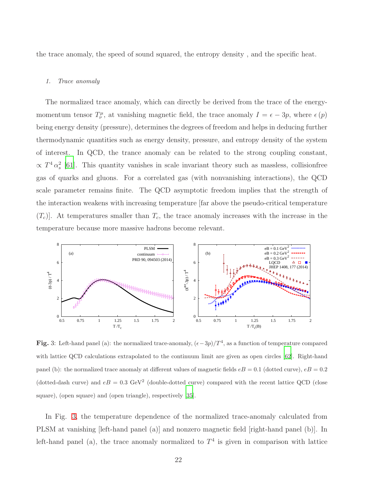the trace anomaly, the speed of sound squared, the entropy density , and the specific heat.

#### <span id="page-21-0"></span>1. Trace anomaly

The normalized trace anomaly, which can directly be derived from the trace of the energymomentum tensor  $T^{\mu}_{\nu}$ , at vanishing magnetic field, the trace anomaly  $I = \epsilon - 3p$ , where  $\epsilon(p)$ being energy density (pressure), determines the degrees of freedom and helps in deducing further thermodynamic quantities such as energy density, pressure, and entropy density of the system of interest. In QCD, the trance anomaly can be related to the strong coupling constant,  $\propto T^4 \alpha_s^2$  [\[61](#page-35-18)]. This quantity vanishes in scale invariant theory such as massless, collisionfree gas of quarks and gluons. For a correlated gas (with nonvanishing interactions), the QCD scale parameter remains finite. The QCD asymptotic freedom implies that the strength of the interaction weakens with increasing temperature [far above the pseudo-critical temperature  $(T_c)$ . At temperatures smaller than  $T_c$ , the trace anomaly increases with the increase in the temperature because more massive hadrons become relevant.



<span id="page-21-1"></span>Fig. 3: Left-hand panel (a): the normalized trace-anomaly,  $(\epsilon - 3p)/T^4$ , as a function of temperature compared with lattice QCD calculations extrapolated to the continuum limit are given as open circles [\[62\]](#page-35-19). Right-hand panel (b): the normalized trace anomaly at different values of magnetic fields  $eB = 0.1$  (dotted curve),  $eB = 0.2$ (dotted-dash curve) and  $eB = 0.3 \text{ GeV}^2$  (double-dotted curve) compared with the recent lattice QCD (close square), (open square) and (open triangle), respectively [\[35\]](#page-34-10).

In Fig. [3,](#page-21-1) the temperature dependence of the normalized trace-anomaly calculated from PLSM at vanishing [left-hand panel (a)] and nonzero magnetic field [right-hand panel (b)]. In left-hand panel (a), the trace anomaly normalized to  $T<sup>4</sup>$  is given in comparison with lattice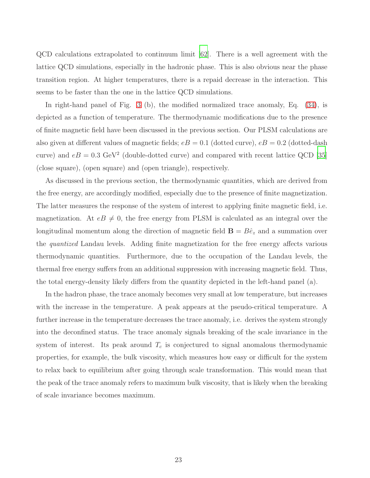QCD calculations extrapolated to continuum limit [\[62](#page-35-19)]. There is a well agreement with the lattice QCD simulations, especially in the hadronic phase. This is also obvious near the phase transition region. At higher temperatures, there is a repaid decrease in the interaction. This seems to be faster than the one in the lattice QCD simulations.

In right-hand panel of Fig. [3](#page-21-1) (b), the modified normalized trace anomaly, Eq. [\(34\)](#page-18-0), is depicted as a function of temperature. The thermodynamic modifications due to the presence of finite magnetic field have been discussed in the previous section. Our PLSM calculations are also given at different values of magnetic fields;  $eB = 0.1$  (dotted curve),  $eB = 0.2$  (dotted-dash curve) and  $eB = 0.3 \text{ GeV}^2$  (double-dotted curve) and compared with recent lattice QCD [\[35\]](#page-34-10) (close square), (open square) and (open triangle), respectively.

As discussed in the previous section, the thermodynamic quantities, which are derived from the free energy, are accordingly modified, especially due to the presence of finite magnetization. The latter measures the response of the system of interest to applying finite magnetic field, i.e. magnetization. At  $eB \neq 0$ , the free energy from PLSM is calculated as an integral over the longitudinal momentum along the direction of magnetic field  $\mathbf{B} = B\hat{e}_z$  and a summation over the quantized Landau levels. Adding finite magnetization for the free energy affects various thermodynamic quantities. Furthermore, due to the occupation of the Landau levels, the thermal free energy suffers from an additional suppression with increasing magnetic field. Thus, the total energy-density likely differs from the quantity depicted in the left-hand panel (a).

In the hadron phase, the trace anomaly becomes very small at low temperature, but increases with the increase in the temperature. A peak appears at the pseudo-critical temperature. A further increase in the temperature decreases the trace anomaly, i.e. derives the system strongly into the deconfined status. The trace anomaly signals breaking of the scale invariance in the system of interest. Its peak around  $T_c$  is conjectured to signal anomalous thermodynamic properties, for example, the bulk viscosity, which measures how easy or difficult for the system to relax back to equilibrium after going through scale transformation. This would mean that the peak of the trace anomaly refers to maximum bulk viscosity, that is likely when the breaking of scale invariance becomes maximum.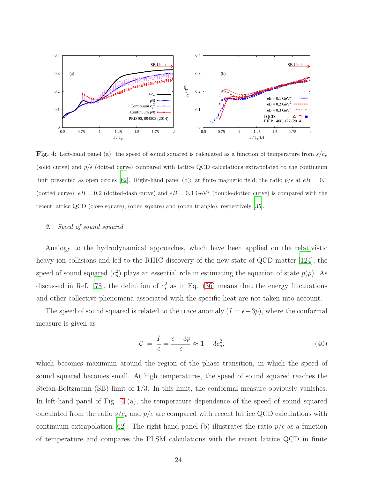

<span id="page-23-1"></span>**Fig.** 4: Left-hand panel (a): the speed of sound squared is calculated as a function of temperature from  $s/c_v$ (solid curve) and  $p/\epsilon$  (dotted curve) compared with lattice QCD calculations extrapolated to the continuum limit presented as open circles [\[62\]](#page-35-19). Right-hand panel (b): at finite magnetic field, the ratio  $p/\epsilon$  at  $eB = 0.1$ (dotted curve),  $eB = 0.2$  (dotted-dash curve) and  $eB = 0.3$  GeV<sup>2</sup> (double-dotted curve) is compared with the recent lattice QCD (close square), (open square) and (open triangle), respectively [\[35\]](#page-34-10).

#### <span id="page-23-0"></span>2. Speed of sound squared

Analogy to the hydrodynamical approaches, which have been applied on the relativistic heavy-ion collisions and led to the RHIC discovery of the new-state-of-QCD-matter [\[124](#page-38-15)], the speed of sound squared  $(c_s^2)$  plays an essential role in estimating the equation of state  $p(\rho)$ . As discussed in Ref. [\[78\]](#page-36-8), the definition of  $c_s^2$  as in Eq. [\(36\)](#page-18-1) means that the energy fluctuations and other collective phenomena associated with the specific heat are not taken into account.

The speed of sound squared is related to the trace anomaly  $(I = \epsilon - 3p)$ , where the conformal measure is given as

$$
\mathcal{C} = \frac{I}{\epsilon} = \frac{\epsilon - 3p}{\epsilon} \approx 1 - 3c_s^2,\tag{40}
$$

which becomes maximum around the region of the phase transition, in which the speed of sound squared becomes small. At high temperatures, the speed of sound squared reaches the Stefan-Boltzmann (SB) limit of 1/3. In this limit, the conformal measure obviously vanishes. In left-hand panel of Fig. [4](#page-23-1) (a), the temperature dependence of the speed of sound squared calculated from the ratio  $s/c_v$  and  $p/\epsilon$  are compared with recent lattice QCD calculations with continuum extrapolation [\[62\]](#page-35-19). The right-hand panel (b) illustrates the ratio  $p/\epsilon$  as a function of temperature and compares the PLSM calculations with the recent lattice QCD in finite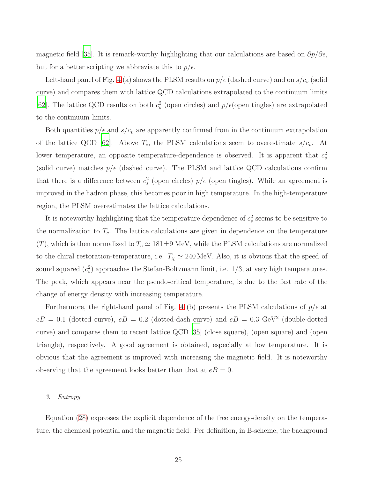magnetic field [\[35](#page-34-10)]. It is remark-worthy highlighting that our calculations are based on  $\partial p/\partial \epsilon$ , but for a better scripting we abbreviate this to  $p/\epsilon$ .

Left-hand panel of Fig. [4](#page-23-1) (a) shows the PLSM results on  $p/\epsilon$  (dashed curve) and on  $s/c_v$  (solid curve) and compares them with lattice QCD calculations extrapolated to the continuum limits [\[62\]](#page-35-19). The lattice QCD results on both  $c_s^2$  (open circles) and  $p/\epsilon$  (open tingles) are extrapolated to the continuum limits.

Both quantities  $p/\epsilon$  and  $s/c_v$  are apparently confirmed from in the continuum extrapolation of the lattice QCD [\[62\]](#page-35-19). Above  $T_c$ , the PLSM calculations seem to overestimate  $s/c_v$ . At lower temperature, an opposite temperature-dependence is observed. It is apparent that  $c_s^2$ (solid curve) matches  $p/\epsilon$  (dashed curve). The PLSM and lattice QCD calculations confirm that there is a difference between  $c_s^2$  (open circles)  $p/\epsilon$  (open tingles). While an agreement is improved in the hadron phase, this becomes poor in high temperature. In the high-temperature region, the PLSM overestimates the lattice calculations.

It is noteworthy highlighting that the temperature dependence of  $c_s^2$  seems to be sensitive to the normalization to  $T_c$ . The lattice calculations are given in dependence on the temperature (T), which is then normalized to  $T_c \simeq 181 \pm 9$  MeV, while the PLSM calculations are normalized to the chiral restoration-temperature, i.e.  $T_{\chi} \simeq 240 \,\text{MeV}$ . Also, it is obvious that the speed of sound squared  $(c_s^2)$  approaches the Stefan-Boltzmann limit, i.e.  $1/3$ , at very high temperatures. The peak, which appears near the pseudo-critical temperature, is due to the fast rate of the change of energy density with increasing temperature.

Furthermore, the right-hand panel of Fig. [4](#page-23-1) (b) presents the PLSM calculations of  $p/\epsilon$  at  $eB = 0.1$  (dotted curve),  $eB = 0.2$  (dotted-dash curve) and  $eB = 0.3$  GeV<sup>2</sup> (double-dotted curve) and compares them to recent lattice QCD [\[35\]](#page-34-10) (close square), (open square) and (open triangle), respectively. A good agreement is obtained, especially at low temperature. It is obvious that the agreement is improved with increasing the magnetic field. It is noteworthy observing that the agreement looks better than that at  $eB = 0$ .

#### <span id="page-24-0"></span>3. Entropy

Equation [\(28\)](#page-17-0) expresses the explicit dependence of the free energy-density on the temperature, the chemical potential and the magnetic field. Per definition, in B-scheme, the background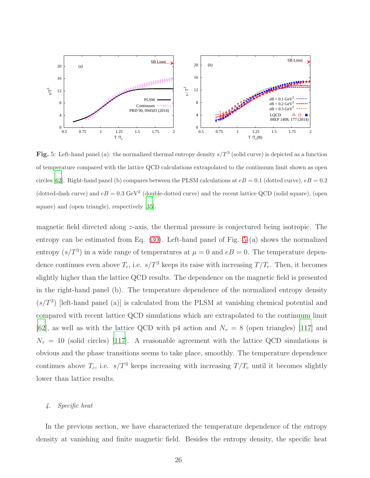

<span id="page-25-1"></span>Fig. 5: Left-hand panel (a): the normalized thermal entropy density  $s/T^3$  (solid curve) is depicted as a function of temperature compared with the lattice QCD calculations extrapolated to the continuum limit shown as open circles [\[62\]](#page-35-19). Right-hand panel (b) compares between the PLSM calculations at  $eB = 0.1$  (dotted curve),  $eB = 0.2$ (dotted-dash curve) and  $eB = 0.3$  GeV<sup>2</sup> (double-dotted curve) and the recent lattice QCD (solid square), (open square) and (open triangle), respectively [\[35\]](#page-34-10).

magnetic field directed along z-axis, the thermal pressure is conjectured being isotropic. The entropy can be estimated from Eq. [\(30\)](#page-17-1). Left-hand panel of Fig. [5](#page-25-1) (a) shows the normalized entropy  $(s/T^3)$  in a wide range of temperatures at  $\mu = 0$  and  $eB = 0$ . The temperature dependence continues even above  $T_c$ , i.e.  $s/T^3$  keeps its raise with increasing  $T/T_c$ . Then, it becomes slightly higher than the lattice QCD results. The dependence on the magnetic field is presented in the right-hand panel (b). The temperature dependence of the normalized entropy density  $(s/T<sup>3</sup>)$  [left-hand panel (a)] is calculated from the PLSM at vanishing chemical potential and compared with recent lattice QCD simulations which are extrapolated to the continuum limit [\[62\]](#page-35-19), as well as with the lattice QCD with p4 action and  $N_{\tau} = 8$  (open triangles) [\[117](#page-38-11)] and  $N_{\tau} = 10$  (solid circles) [\[117\]](#page-38-11). A reasonable agreement with the lattice QCD simulations is obvious and the phase transitions seems to take place, smoothly. The temperature dependence continues above  $T_c$ , i.e.  $s/T^3$  keeps increasing with increasing  $T/T_c$  until it becomes slightly lower than lattice results.

# <span id="page-25-0"></span>4. Specific heat

In the previous section, we have characterized the temperature dependence of the entropy density at vanishing and finite magnetic field. Besides the entropy density, the specific heat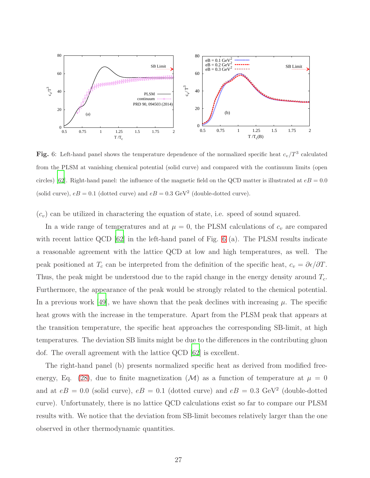

<span id="page-26-0"></span>Fig. 6: Left-hand panel shows the temperature dependence of the normalized specific heat  $c_v/T^3$  calculated from the PLSM at vanishing chemical potential (solid curve) and compared with the continuum limits (open circles) [\[62](#page-35-19)]. Right-hand panel: the influence of the magnetic field on the QCD matter is illustrated at  $eB = 0.0$ (solid curve),  $eB = 0.1$  (dotted curve) and  $eB = 0.3$  GeV<sup>2</sup> (double-dotted curve).

 $(c_v)$  can be utilized in charactering the equation of state, i.e. speed of sound squared.

In a wide range of temperatures and at  $\mu = 0$ , the PLSM calculations of  $c_v$  are compared with recent lattice QCD [\[62](#page-35-19)] in the left-hand panel of Fig. [6](#page-26-0) (a). The PLSM results indicate a reasonable agreement with the lattice QCD at low and high temperatures, as well. The peak positioned at  $T_c$  can be interpreted from the definition of the specific heat,  $c_v = \partial \epsilon / \partial T$ . Thus, the peak might be understood due to the rapid change in the energy density around  $T_c$ . Furthermore, the appearance of the peak would be strongly related to the chemical potential. In a previous work [\[49](#page-35-8)], we have shown that the peak declines with increasing  $\mu$ . The specific heat grows with the increase in the temperature. Apart from the PLSM peak that appears at the transition temperature, the specific heat approaches the corresponding SB-limit, at high temperatures. The deviation SB limits might be due to the differences in the contributing gluon dof. The overall agreement with the lattice QCD [\[62](#page-35-19)] is excellent.

The right-hand panel (b) presents normalized specific heat as derived from modified free-energy, Eq. [\(28\)](#page-17-0), due to finite magnetization  $(M)$  as a function of temperature at  $\mu = 0$ and at  $eB = 0.0$  (solid curve),  $eB = 0.1$  (dotted curve) and  $eB = 0.3$  GeV<sup>2</sup> (double-dotted curve). Unfortunately, there is no lattice QCD calculations exist so far to compare our PLSM results with. We notice that the deviation from SB-limit becomes relatively larger than the one observed in other thermodynamic quantities.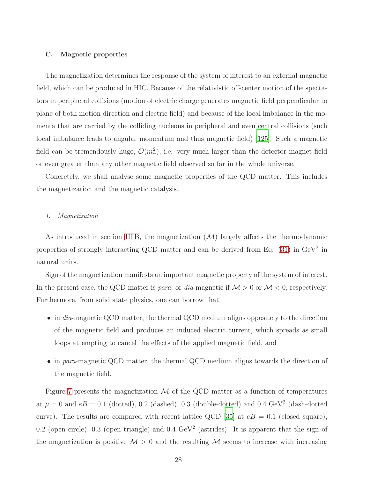#### <span id="page-27-0"></span>C. Magnetic properties

The magnetization determines the response of the system of interest to an external magnetic field, which can be produced in HIC. Because of the relativistic off-center motion of the spectators in peripheral collisions (motion of electric charge generates magnetic field perpendicular to plane of both motion direction and electric field) and because of the local imbalance in the momenta that are carried by the colliding nucleons in peripheral and even central collisions (such local imbalance leads to angular momentum and thus magnetic field) [\[125\]](#page-38-16). Such a magnetic field can be tremendously huge,  $\mathcal{O}(m_\pi^2)$ , i.e. very much larger than the detector magnet field or even greater than any other magnetic field observed so far in the whole universe.

Concretely, we shall analyse some magnetic properties of the QCD matter. This includes the magnetization and the magnetic catalysis.

#### <span id="page-27-1"></span>1. Magnetization

As introduced in section IIIB, the magnetization  $(M)$  largely affects the thermodynamic properties of strongly interacting QCD matter and can be derived from Eq.  $(31)$  in GeV<sup>2</sup> in natural units.

Sign of the magnetization manifests an important magnetic property of the system of interest. In the present case, the QCD matter is *para*- or *dia*-magnetic if  $M > 0$  or  $M < 0$ , respectively. Furthermore, from solid state physics, one can borrow that

- in dia-magnetic QCD matter, the thermal QCD medium aligns oppositely to the direction of the magnetic field and produces an induced electric current, which spreads as small loops attempting to cancel the effects of the applied magnetic field, and
- in para-magnetic QCD matter, the thermal QCD medium aligns towards the direction of the magnetic field.

Figure [7](#page-28-0) presents the magnetization  $M$  of the QCD matter as a function of temperatures at  $\mu = 0$  and  $eB = 0.1$  (dotted), 0.2 (dashed), 0.3 (double-dotted) and 0.4 GeV<sup>2</sup> (dash-dotted curve). The results are compared with recent lattice QCD [\[35\]](#page-34-10) at  $eB = 0.1$  (closed square), 0.2 (open circle), 0.3 (open triangle) and 0.4  $\text{GeV}^2$  (astrides). It is apparent that the sign of the magnetization is positive  $\mathcal{M} > 0$  and the resulting  $\mathcal M$  seems to increase with increasing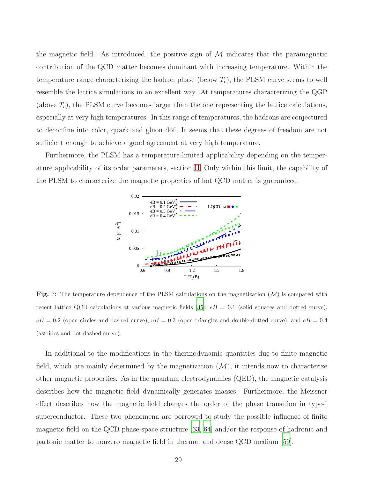the magnetic field. As introduced, the positive sign of  $M$  indicates that the paramagnetic contribution of the QCD matter becomes dominant with increasing temperature. Within the temperature range characterizing the hadron phase (below  $T_c$ ), the PLSM curve seems to well resemble the lattice simulations in an excellent way. At temperatures characterizing the QGP (above  $T_c$ ), the PLSM curve becomes larger than the one representing the lattice calculations, especially at very high temperatures. In this range of temperatures, the hadrons are conjectured to deconfine into color, quark and gluon dof. It seems that these degrees of freedom are not sufficient enough to achieve a good agreement at very high temperature.

Furthermore, the PLSM has a temperature-limited applicability depending on the temperature applicability of its order parameters, section [II.](#page-6-0) Only within this limit, the capability of the PLSM to characterize the magnetic properties of hot QCD matter is guaranteed.



<span id="page-28-0"></span>**Fig.** 7: The temperature dependence of the PLSM calculations on the magnetization  $(M)$  is compared with recent lattice QCD calculations at various magnetic fields [\[35\]](#page-34-10);  $eB = 0.1$  (solid squares and dotted curve),  $eB = 0.2$  (open circles and dashed curve),  $eB = 0.3$  (open triangles and double-dotted curve), and  $eB = 0.4$ (astrides and dot-dashed curve).

In additional to the modifications in the thermodynamic quantities due to finite magnetic field, which are mainly determined by the magnetization  $(M)$ , it intends now to characterize other magnetic properties. As in the quantum electrodynamics (QED), the magnetic catalysis describes how the magnetic field dynamically generates masses. Furthermore, the Meissner effect describes how the magnetic field changes the order of the phase transition in type-I superconductor. These two phenomena are borrowed to study the possible influence of finite magnetic field on the QCD phase-space structure [\[63](#page-35-20), [64\]](#page-35-21) and/or the response of hadronic and partonic matter to nonzero magnetic field in thermal and dense QCD medium [\[59](#page-35-16)].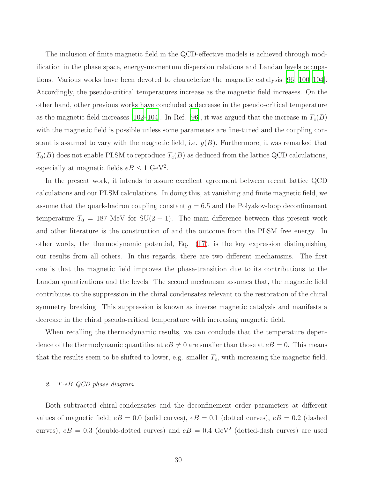The inclusion of finite magnetic field in the QCD-effective models is achieved through modification in the phase space, energy-momentum dispersion relations and Landau levels occupations. Various works have been devoted to characterize the magnetic catalysis [\[96,](#page-37-10) [100](#page-37-12)[–104\]](#page-37-13). Accordingly, the pseudo-critical temperatures increase as the magnetic field increases. On the other hand, other previous works have concluded a decrease in the pseudo-critical temperature as the magnetic field increases [\[102](#page-37-18)[–104\]](#page-37-13). In Ref. [\[96](#page-37-10)], it was argued that the increase in  $T_c(B)$ with the magnetic field is possible unless some parameters are fine-tuned and the coupling constant is assumed to vary with the magnetic field, i.e.  $g(B)$ . Furthermore, it was remarked that  $T_0(B)$  does not enable PLSM to reproduce  $T_c(B)$  as deduced from the lattice QCD calculations, especially at magnetic fields  $eB \le 1 \text{ GeV}^2$ .

In the present work, it intends to assure excellent agreement between recent lattice QCD calculations and our PLSM calculations. In doing this, at vanishing and finite magnetic field, we assume that the quark-hadron coupling constant  $g = 6.5$  and the Polyakov-loop deconfinement temperature  $T_0 = 187$  MeV for  $SU(2 + 1)$ . The main difference between this present work and other literature is the construction of and the outcome from the PLSM free energy. In other words, the thermodynamic potential, Eq. [\(17\)](#page-11-0), is the key expression distinguishing our results from all others. In this regards, there are two different mechanisms. The first one is that the magnetic field improves the phase-transition due to its contributions to the Landau quantizations and the levels. The second mechanism assumes that, the magnetic field contributes to the suppression in the chiral condensates relevant to the restoration of the chiral symmetry breaking. This suppression is known as inverse magnetic catalysis and manifests a decrease in the chiral pseudo-critical temperature with increasing magnetic field.

When recalling the thermodynamic results, we can conclude that the temperature dependence of the thermodynamic quantities at  $eB \neq 0$  are smaller than those at  $eB = 0$ . This means that the results seem to be shifted to lower, e.g. smaller  $T_c$ , with increasing the magnetic field.

# <span id="page-29-0"></span>2. T-eB QCD phase diagram

Both subtracted chiral-condensates and the deconfinement order parameters at different values of magnetic field;  $eB = 0.0$  (solid curves),  $eB = 0.1$  (dotted curves),  $eB = 0.2$  (dashed curves),  $eB = 0.3$  (double-dotted curves) and  $eB = 0.4$  GeV<sup>2</sup> (dotted-dash curves) are used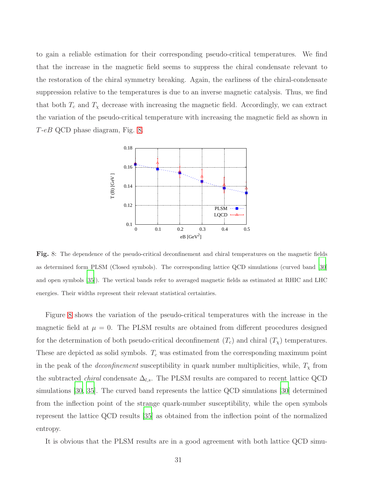to gain a reliable estimation for their corresponding pseudo-critical temperatures. We find that the increase in the magnetic field seems to suppress the chiral condensate relevant to the restoration of the chiral symmetry breaking. Again, the earliness of the chiral-condensate suppression relative to the temperatures is due to an inverse magnetic catalysis. Thus, we find that both  $T_c$  and  $T_\chi$  decrease with increasing the magnetic field. Accordingly, we can extract the variation of the pseudo-critical temperature with increasing the magnetic field as shown in T-eB QCD phase diagram, Fig. [8.](#page-30-0)



<span id="page-30-0"></span>Fig. 8: The dependence of the pseudo-critical deconfinement and chiral temperatures on the magnetic fields as determined form PLSM (Closed symbols). The corresponding lattice QCD simulations (curved band [\[30](#page-34-9)] and open symbols [\[35](#page-34-10)]). The vertical bands refer to averaged magnetic fields as estimated at RHIC and LHC energies. Their widths represent their relevant statistical certainties.

Figure [8](#page-30-0) shows the variation of the pseudo-critical temperatures with the increase in the magnetic field at  $\mu = 0$ . The PLSM results are obtained from different procedures designed for the determination of both pseudo-critical deconfinement  $(T_c)$  and chiral  $(T_{\chi})$  temperatures. These are depicted as solid symbols.  $T_c$  was estimated from the corresponding maximum point in the peak of the *deconfinement* susceptibility in quark number multiplicities, while,  $T<sub>x</sub>$  from the subtracted *chiral* condensate  $\Delta_{l,s}$ . The PLSM results are compared to recent lattice QCD simulations [\[30,](#page-34-9) [35\]](#page-34-10). The curved band represents the lattice QCD simulations [\[30](#page-34-9)] determined from the inflection point of the strange quark-number susceptibility, while the open symbols represent the lattice QCD results [\[35\]](#page-34-10) as obtained from the inflection point of the normalized entropy.

It is obvious that the PLSM results are in a good agreement with both lattice QCD simu-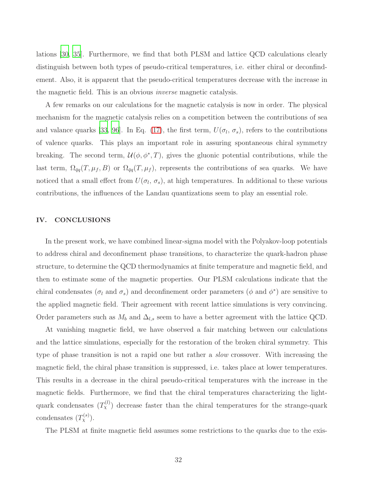lations [\[30,](#page-34-9) [35](#page-34-10)]. Furthermore, we find that both PLSM and lattice QCD calculations clearly distinguish between both types of pseudo-critical temperatures, i.e. either chiral or deconfindement. Also, it is apparent that the pseudo-critical temperatures decrease with the increase in the magnetic field. This is an obvious inverse magnetic catalysis.

A few remarks on our calculations for the magnetic catalysis is now in order. The physical mechanism for the magnetic catalysis relies on a competition between the contributions of sea and valance quarks [\[33,](#page-34-16) [96](#page-37-10)]. In Eq. [\(17\)](#page-11-0), the first term,  $U(\sigma_l, \sigma_s)$ , refers to the contributions of valence quarks. This plays an important role in assuring spontaneous chiral symmetry breaking. The second term,  $\mathcal{U}(\phi, \phi^*, T)$ , gives the gluonic potential contributions, while the last term,  $\Omega_{\bar{q}q}(T,\mu_f,B)$  or  $\Omega_{\bar{q}q}(T,\mu_f)$ , represents the contributions of sea quarks. We have noticed that a small effect from  $U(\sigma_l, \sigma_s)$ , at high temperatures. In additional to these various contributions, the influences of the Landau quantizations seem to play an essential role.

### <span id="page-31-0"></span>IV. CONCLUSIONS

In the present work, we have combined linear-sigma model with the Polyakov-loop potentials to address chiral and deconfinement phase transitions, to characterize the quark-hadron phase structure, to determine the QCD thermodynamics at finite temperature and magnetic field, and then to estimate some of the magnetic properties. Our PLSM calculations indicate that the chiral condensates ( $\sigma_l$  and  $\sigma_s$ ) and deconfinement order parameters ( $\phi$  and  $\phi^*$ ) are sensitive to the applied magnetic field. Their agreement with recent lattice simulations is very convincing. Order parameters such as  $M_b$  and  $\Delta_{l,s}$  seem to have a better agreement with the lattice QCD.

At vanishing magnetic field, we have observed a fair matching between our calculations and the lattice simulations, especially for the restoration of the broken chiral symmetry. This type of phase transition is not a rapid one but rather a slow crossover. With increasing the magnetic field, the chiral phase transition is suppressed, i.e. takes place at lower temperatures. This results in a decrease in the chiral pseudo-critical temperatures with the increase in the magnetic fields. Furthermore, we find that the chiral temperatures characterizing the lightquark condensates  $(T_{\chi}^{(l)})$  decrease faster than the chiral temperatures for the strange-quark condensates  $(T_\chi^{(s)})$ .

The PLSM at finite magnetic field assumes some restrictions to the quarks due to the exis-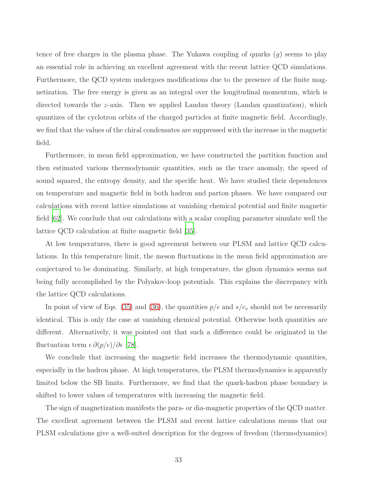tence of free charges in the plasma phase. The Yukawa coupling of quarks  $(q)$  seems to play an essential role in achieving an excellent agreement with the recent lattice QCD simulations. Furthermore, the QCD system undergoes modifications due to the presence of the finite magnetization. The free energy is given as an integral over the longitudinal momentum, which is directed towards the z-axis. Then we applied Landau theory (Landau quantization), which quantizes of the cyclotron orbits of the charged particles at finite magnetic field. Accordingly, we find that the values of the chiral condensates are suppressed with the increase in the magnetic field.

Furthermore, in mean field approximation, we have constructed the partition function and then estimated various thermodynamic quantities, such as the trace anomaly, the speed of sound squared, the entropy density, and the specific heat. We have studied their dependences on temperature and magnetic field in both hadron and parton phases. We have compared our calculations with recent lattice simulations at vanishing chemical potential and finite magnetic field [\[62\]](#page-35-19). We conclude that our calculations with a scalar coupling parameter simulate well the lattice QCD calculation at finite magnetic field [\[35](#page-34-10)].

At low temperatures, there is good agreement between our PLSM and lattice QCD calculations. In this temperature limit, the meson fluctuations in the mean field approximation are conjectured to be dominating. Similarly, at high temperature, the gluon dynamics seems not being fully accomplished by the Polyakov-loop potentials. This explains the discrepancy with the lattice QCD calculations.

In point of view of Eqs. [\(35\)](#page-18-2) and [\(36\)](#page-18-1), the quantities  $p/\epsilon$  and  $s/c_v$  should not be necessarily identical. This is only the case at vanishing chemical potential. Otherwise both quantities are different. Alternatively, it was pointed out that such a difference could be originated in the fluctuation term  $\epsilon \, \partial(p/\epsilon)/\partial \epsilon$  [\[78\]](#page-36-8).

We conclude that increasing the magnetic field increases the thermodynamic quantities, especially in the hadron phase. At high temperatures, the PLSM thermodynamics is apparently limited below the SB limits. Furthermore, we find that the quark-hadron phase boundary is shifted to lower values of temperatures with increasing the magnetic field.

The sign of magnetization manifests the para- or dia-magnetic properties of the QCD matter. The excellent agreement between the PLSM and recent lattice calculations means that our PLSM calculations give a well-suited description for the degrees of freedom (thermodynamics)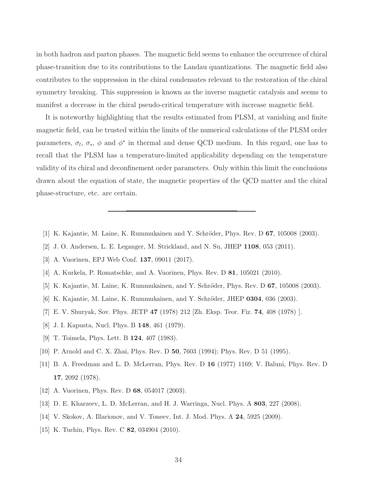in both hadron and parton phases. The magnetic field seems to enhance the occurrence of chiral phase-transition due to its contributions to the Landau quantizations. The magnetic field also contributes to the suppression in the chiral condensates relevant to the restoration of the chiral symmetry breaking. This suppression is known as the inverse magnetic catalysis and seems to manifest a decrease in the chiral pseudo-critical temperature with increase magnetic field.

It is noteworthy highlighting that the results estimated from PLSM, at vanishing and finite magnetic field, can be trusted within the limits of the numerical calculations of the PLSM order parameters,  $\sigma_l$ ,  $\sigma_s$ ,  $\phi$  and  $\phi^*$  in thermal and dense QCD medium. In this regard, one has to recall that the PLSM has a temperature-limited applicability depending on the temperature validity of its chiral and deconfinement order parameters. Only within this limit the conclusions drawn about the equation of state, the magnetic properties of the QCD matter and the chiral phase-structure, etc. are certain.

- <span id="page-33-1"></span><span id="page-33-0"></span>[1] K. Kajantie, M. Laine, K. Rummukainen and Y. Schröder, Phys. Rev. D  $67$ , 105008 (2003).
- <span id="page-33-2"></span>[2] J. O. Andersen, L. E. Leganger, M. Strickland, and N. Su, JHEP 1108, 053 (2011).
- <span id="page-33-3"></span>[3] A. Vuorinen, EPJ Web Conf. 137, 09011 (2017).
- <span id="page-33-4"></span>[4] A. Kurkela, P. Romatschke, and A. Vuorinen, Phys. Rev. D 81, 105021 (2010).
- <span id="page-33-5"></span>[5] K. Kajantie, M. Laine, K. Rummukainen, and Y. Schröder, Phys. Rev. D  $67$ , 105008 (2003).
- [6] K. Kajantie, M. Laine, K. Rummukainen, and Y. Schröder, JHEP  $0304$ , 036 (2003).
- [7] E. V. Shuryak, Sov. Phys. JETP 47 (1978) 212 [Zh. Eksp. Teor. Fiz. 74, 408 (1978) ].
- [8] J. I. Kapusta, Nucl. Phys. B 148, 461 (1979).
- [9] T. Toimela, Phys. Lett. B 124, 407 (1983).
- <span id="page-33-6"></span>[10] P. Arnold and C. X. Zhai, Phys. Rev. D 50, 7603 (1994); Phys. Rev. D 51 (1995).
- <span id="page-33-7"></span>[11] B. A. Freedman and L. D. McLerran, Phys. Rev. D 16 (1977) 1169; V. Baluni, Phys. Rev. D 17, 2092 (1978).
- <span id="page-33-8"></span>[12] A. Vuorinen, Phys. Rev. D 68, 054017 (2003).
- <span id="page-33-9"></span>[13] D. E. Kharzeev, L. D. McLerran, and H. J. Warringa, Nucl. Phys. A 803, 227 (2008).
- <span id="page-33-10"></span>[14] V. Skokov, A. Illarionov, and V. Toneev, Int. J. Mod. Phys. A 24, 5925 (2009).
- <span id="page-33-11"></span>[15] K. Tuchin, Phys. Rev. C **82**, 034904 (2010).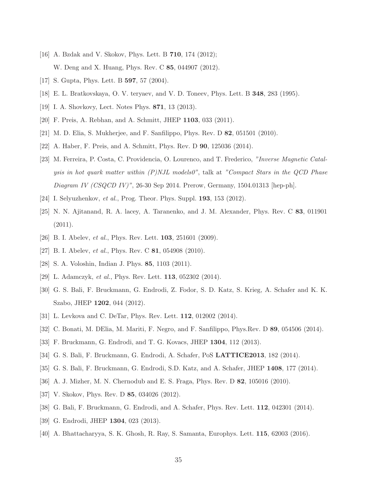- <span id="page-34-0"></span>[16] A. Bzdak and V. Skokov, Phys. Lett. B **710**, 174 (2012); W. Deng and X. Huang, Phys. Rev. C 85, 044907 (2012).
- <span id="page-34-2"></span><span id="page-34-1"></span>[17] S. Gupta, Phys. Lett. B **597**, 57 (2004).
- <span id="page-34-3"></span>[18] E. L. Bratkovskaya, O. V. teryaev, and V. D. Toneev, Phys. Lett. B 348, 283 (1995).
- [19] I. A. Shovkovy, Lect. Notes Phys. 871, 13 (2013).
- [20] F. Preis, A. Rebhan, and A. Schmitt, JHEP 1103, 033 (2011).
- [21] M. D. Elia, S. Mukherjee, and F. Sanfilippo, Phys. Rev. D 82, 051501 (2010).
- <span id="page-34-4"></span>[22] A. Haber, F. Preis, and A. Schmitt, Phys. Rev. D 90, 125036 (2014).
- [23] M. Ferreira, P. Costa, C. Providencia, O. Lourenco, and T. Frederico, "Inverse Magnetic Catalysis in hot quark matter within (P)NJL models0", talk at "Compact Stars in the QCD Phase Diagram IV (CSQCD IV)", 26-30 Sep 2014. Prerow, Germany, 1504.01313 [hep-ph].
- <span id="page-34-6"></span><span id="page-34-5"></span>[24] I. Selyuzhenkov, *et al.*, Prog. Theor. Phys. Suppl. **193**, 153 (2012).
- [25] N. N. Ajitanand, R. A. lacey, A. Taranenko, and J. M. Alexander, Phys. Rev. C 83, 011901  $(2011).$
- <span id="page-34-7"></span>[26] B. I. Abelev, *et al.*, Phys. Rev. Lett. **103**, 251601 (2009).
- [27] B. I. Abelev, *et al.*, Phys. Rev. C **81**, 054908 (2010).
- [28] S. A. Voloshin, Indian J. Phys. 85, 1103 (2011).
- <span id="page-34-8"></span>[29] L. Adamczyk, et al., Phys. Rev. Lett. **113**, 052302 (2014).
- <span id="page-34-9"></span>[30] G. S. Bali, F. Bruckmann, G. Endrodi, Z. Fodor, S. D. Katz, S. Krieg, A. Schafer and K. K. Szabo, JHEP 1202, 044 (2012).
- [31] L. Levkova and C. DeTar, Phys. Rev. Lett. 112, 012002 (2014).
- [32] C. Bonati, M. DElia, M. Mariti, F. Negro, and F. Sanfilippo, Phys.Rev. D 89, 054506 (2014).
- <span id="page-34-16"></span>[33] F. Bruckmann, G. Endrodi, and T. G. Kovacs, JHEP 1304, 112 (2013).
- [34] G. S. Bali, F. Bruckmann, G. Endrodi, A. Schafer, PoS LATTICE2013, 182 (2014).
- <span id="page-34-10"></span>[35] G. S. Bali, F. Bruckmann, G. Endrodi, S.D. Katz, and A. Schafer, JHEP 1408, 177 (2014).
- <span id="page-34-11"></span>[36] A. J. Mizher, M. N. Chernodub and E. S. Fraga, Phys. Rev. D 82, 105016 (2010).
- <span id="page-34-12"></span>[37] V. Skokov, Phys. Rev. D **85**, 034026 (2012).
- <span id="page-34-13"></span>[38] G. Bali, F. Bruckmann, G. Endrodi, and A. Schafer, Phys. Rev. Lett. 112, 042301 (2014).
- <span id="page-34-14"></span>[39] G. Endrodi, JHEP 1304, 023 (2013).
- <span id="page-34-15"></span>[40] A. Bhattacharyya, S. K. Ghosh, R. Ray, S. Samanta, Europhys. Lett. 115, 62003 (2016).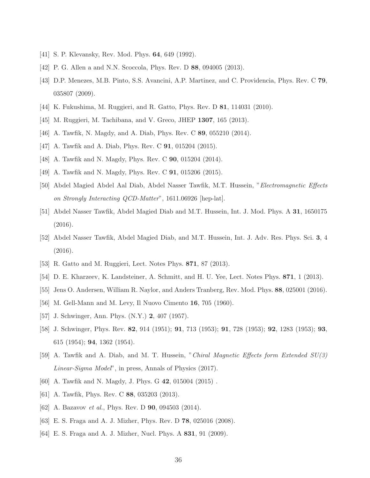- <span id="page-35-1"></span><span id="page-35-0"></span>[41] S. P. Klevansky, Rev. Mod. Phys. **64**, 649 (1992).
- <span id="page-35-2"></span>[42] P. G. Allen a and N.N. Scoccola, Phys. Rev. D 88, 094005 (2013).
- [43] D.P. Menezes, M.B. Pinto, S.S. Avancini, A.P. Martinez, and C. Providencia, Phys. Rev. C 79, 035807 (2009).
- <span id="page-35-4"></span><span id="page-35-3"></span>[44] K. Fukushima, M. Ruggieri, and R. Gatto, Phys. Rev. D 81, 114031 (2010).
- <span id="page-35-5"></span>[45] M. Ruggieri, M. Tachibana, and V. Greco, JHEP 1307, 165 (2013).
- <span id="page-35-6"></span>[46] A. Tawfik, N. Magdy, and A. Diab, Phys. Rev. C 89, 055210 (2014).
- <span id="page-35-7"></span>[47] A. Tawfik and A. Diab, Phys. Rev. C 91, 015204 (2015).
- <span id="page-35-8"></span>[48] A. Tawfik and N. Magdy, Phys. Rev. C **90**, 015204 (2014).
- [49] A. Tawfik and N. Magdy, Phys. Rev. C 91, 015206 (2015).
- <span id="page-35-9"></span>[50] Abdel Magied Abdel Aal Diab, Abdel Nasser Tawfik, M.T. Hussein, "Electromagnetic Effects on Strongly Interacting QCD-Matter", 1611.06926 [hep-lat].
- [51] Abdel Nasser Tawfik, Abdel Magied Diab and M.T. Hussein, Int. J. Mod. Phys. A 31, 1650175 (2016).
- <span id="page-35-10"></span>[52] Abdel Nasser Tawfik, Abdel Magied Diab, and M.T. Hussein, Int. J. Adv. Res. Phys. Sci. 3, 4 (2016).
- <span id="page-35-11"></span>[53] R. Gatto and M. Ruggieri, Lect. Notes Phys. 871, 87 (2013).
- [54] D. E. Kharzeev, K. Landsteiner, A. Schmitt, and H. U. Yee, Lect. Notes Phys. **871**, 1 (2013).
- <span id="page-35-12"></span>[55] Jens O. Andersen, William R. Naylor, and Anders Tranberg, Rev. Mod. Phys. 88, 025001 (2016).
- <span id="page-35-14"></span><span id="page-35-13"></span>[56] M. Gell-Mann and M. Levy, Il Nuovo Cimento 16, 705 (1960).
- [57] J. Schwinger, Ann. Phys. (N.Y.) 2, 407 (1957).
- <span id="page-35-15"></span>[58] J. Schwinger, Phys. Rev. 82, 914 (1951); 91, 713 (1953); 91, 728 (1953); 92, 1283 (1953); 93, 615 (1954); 94, 1362 (1954).
- <span id="page-35-16"></span>[59] A. Tawfik and A. Diab, and M. T. Hussein, "Chiral Magnetic Effects form Extended SU(3) Linear-Sigma Model", in press, Annals of Physics (2017).
- <span id="page-35-17"></span>[60] A. Tawfik and N. Magdy, J. Phys. G 42, 015004 (2015) .
- <span id="page-35-18"></span>[61] A. Tawfik, Phys. Rev. C 88, 035203 (2013).
- <span id="page-35-19"></span>[62] A. Bazavov *et al.*, Phys. Rev. D **90**, 094503 (2014).
- <span id="page-35-20"></span>[63] E. S. Fraga and A. J. Mizher, Phys. Rev. D 78, 025016 (2008).
- <span id="page-35-21"></span>[64] E. S. Fraga and A. J. Mizher, Nucl. Phys. A 831, 91 (2009).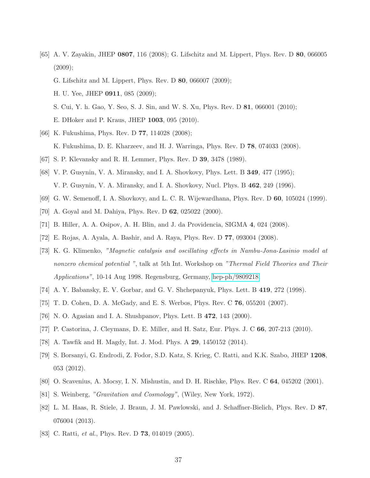- <span id="page-36-0"></span>[65] A. V. Zayakin, JHEP 0807, 116 (2008); G. Lifschitz and M. Lippert, Phys. Rev. D 80, 066005  $(2009);$ 
	- G. Lifschitz and M. Lippert, Phys. Rev. D 80, 066007 (2009);
	- H. U. Yee, JHEP 0911, 085 (2009);
	- S. Cui, Y. h. Gao, Y. Seo, S. J. Sin, and W. S. Xu, Phys. Rev. D 81, 066001 (2010); E. DHoker and P. Kraus, JHEP 1003, 095 (2010).
- <span id="page-36-1"></span>[66] K. Fukushima, Phys. Rev. D **77**, 114028 (2008);
	- K. Fukushima, D. E. Kharzeev, and H. J. Warringa, Phys. Rev. D 78, 074033 (2008).
- <span id="page-36-2"></span>[67] S. P. Klevansky and R. H. Lemmer, Phys. Rev. D 39, 3478 (1989).
- [68] V. P. Gusynin, V. A. Miransky, and I. A. Shovkovy, Phys. Lett. B 349, 477 (1995); V. P. Gusynin, V. A. Miransky, and I. A. Shovkovy, Nucl. Phys. B 462, 249 (1996).
- [69] G. W. Semenoff, I. A. Shovkovy, and L. C. R. Wijewardhana, Phys. Rev. D 60, 105024 (1999).
- [70] A. Goyal and M. Dahiya, Phys. Rev. D 62, 025022 (2000).
- <span id="page-36-3"></span>[71] B. Hiller, A. A. Osipov, A. H. Blin, and J. da Providencia, SIGMA 4, 024 (2008).
- [72] E. Rojas, A. Ayala, A. Bashir, and A. Raya, Phys. Rev. D 77, 093004 (2008).
- [73] K. G. Klimenko, "Magnetic catalysis and oscillating effects in Nambu-Jona-Lasinio model at nonzero chemical potential ", talk at 5th Int. Workshop on "Thermal Field Theories and Their Applications", 10-14 Aug 1998. Regensburg, Germany, [hep-ph/9809218.](http://arxiv.org/abs/hep-ph/9809218)
- <span id="page-36-4"></span>[74] A. Y. Babansky, E. V. Gorbar, and G. V. Shchepanyuk, Phys. Lett. B 419, 272 (1998).
- <span id="page-36-6"></span><span id="page-36-5"></span>[75] T. D. Cohen, D. A. McGady, and E. S. Werbos, Phys. Rev. C 76, 055201 (2007).
- [76] N. O. Agasian and I. A. Shushpanov, Phys. Lett. B 472, 143 (2000).
- <span id="page-36-7"></span>[77] P. Castorina, J. Cleymans, D. E. Miller, and H. Satz, Eur. Phys. J. C 66, 207-213 (2010).
- <span id="page-36-8"></span>[78] A. Tawfik and H. Magdy, Int. J. Mod. Phys. A 29, 1450152 (2014).
- <span id="page-36-9"></span>[79] S. Borsanyi, G. Endrodi, Z. Fodor, S.D. Katz, S. Krieg, C. Ratti, and K.K. Szabo, JHEP 1208, 053 (2012).
- <span id="page-36-10"></span>[80] O. Scavenius, A. Mocsy, I. N. Mishustin, and D. H. Rischke, Phys. Rev. C 64, 045202 (2001).
- <span id="page-36-11"></span>[81] S. Weinberg, "Gravitation and Cosmology", (Wiley, New York, 1972).
- [82] L. M. Haas, R. Stiele, J. Braun, J. M. Pawlowski, and J. Schaffner-Bielich, Phys. Rev. D 87, 076004 (2013).
- <span id="page-36-12"></span>[83] C. Ratti, *et al.*, Phys. Rev. D **73**, 014019 (2005).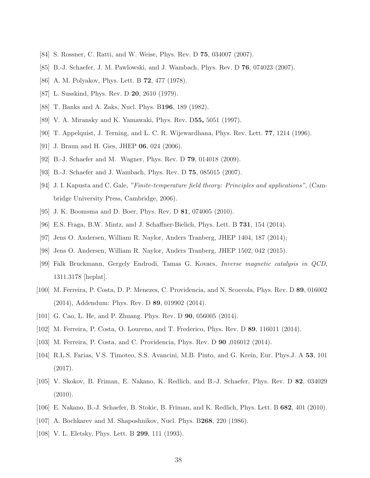- <span id="page-37-1"></span><span id="page-37-0"></span>[84] S. Rossner, C. Ratti, and W. Weise, Phys. Rev. D 75, 034007 (2007).
- <span id="page-37-2"></span>[85] B.-J. Schaefer, J. M. Pawlowski, and J. Wambach, Phys. Rev. D 76, 074023 (2007).
- <span id="page-37-3"></span>[86] A. M. Polyakov, Phys. Lett. B 72, 477 (1978).
- <span id="page-37-4"></span>[87] L. Susskind, Phys. Rev. D **20**, 2610 (1979).
- [88] T. Banks and A. Zaks, Nucl. Phys. B196, 189 (1982).
- [89] V. A. Miransky and K. Yamawaki, Phys. Rev. D55, 5051 (1997).
- <span id="page-37-5"></span>[90] T. Appelquist, J. Terning, and L. C. R. Wijewardhana, Phys. Rev. Lett. 77, 1214 (1996).
- <span id="page-37-6"></span>[91] J. Braun and H. Gies, JHEP **06**, 024 (2006).
- <span id="page-37-7"></span>[92] B.-J. Schaefer and M. Wagner, Phys. Rev. D 79, 014018 (2009).
- [93] B.-J. Schaefer and J. Wambach, Phys. Rev. D 75, 085015 (2007).
- <span id="page-37-8"></span>[94] J. I. Kapusta and C. Gale, "Finite-temperature field theory: Principles and applications", (Cambridge University Press, Cambridge, 2006).
- <span id="page-37-10"></span><span id="page-37-9"></span>[95] J. K. Boomsma and D. Boer, Phys. Rev. D 81, 074005 (2010).
- [96] E.S. Fraga, B.W. Mintz, and J. Schaffner-Bielich, Phys. Lett. B 731, 154 (2014).
- [97] Jens O. Andersen, William R. Naylor, Anders Tranberg, JHEP 1404, 187 (2014);
- <span id="page-37-11"></span>[98] Jens O. Andersen, William R. Naylor, Anders Tranberg, JHEP 1502, 042 (2015).
- [99] Falk Bruckmann, Gergely Endrodi, Tamas G. Kovacs, Inverse magnetic catalysis in QCD, 1311.3178 [heplat].
- <span id="page-37-12"></span>[100] M. Ferreira, P. Costa, D. P. Menezes, C. Providencia, and N. Scoccola, Phys. Rev. D 89, 016002 (2014), Addendum: Phys. Rev. D 89, 019902 (2014).
- [101] G. Cao, L. He, and P. Zhuang. Phys. Rev. D 90, 056005 (2014).
- <span id="page-37-18"></span>[102] M. Ferreira, P. Costa, O. Loureno, and T. Frederico, Phys. Rev. D 89, 116011 (2014).
- [103] M. Ferreira, P. Costa, and C. Providencia, Phys. Rev. D 90 ,016012 (2014).
- <span id="page-37-13"></span>[104] R.L.S. Farias, V.S. Timoteo, S.S. Avancini, M.B. Pinto, and G. Krein, Eur. Phys.J. A 53, 101 (2017).
- <span id="page-37-14"></span>[105] V. Skokov, B. Friman, E. Nakano, K. Redlich, and B.-J. Schaefer, Phys. Rev. D 82, 034029 (2010).
- <span id="page-37-15"></span>[106] E. Nakano, B.-J. Schaefer, B. Stokic, B. Friman, and K. Redlich, Phys. Lett. B 682, 401 (2010).
- <span id="page-37-16"></span>[107] A. Bochkarev and M. Shaposhnikov, Nucl. Phys. B268, 220 (1986).
- <span id="page-37-17"></span>[108] V. L. Eletsky, Phys. Lett. B **299**, 111 (1993).